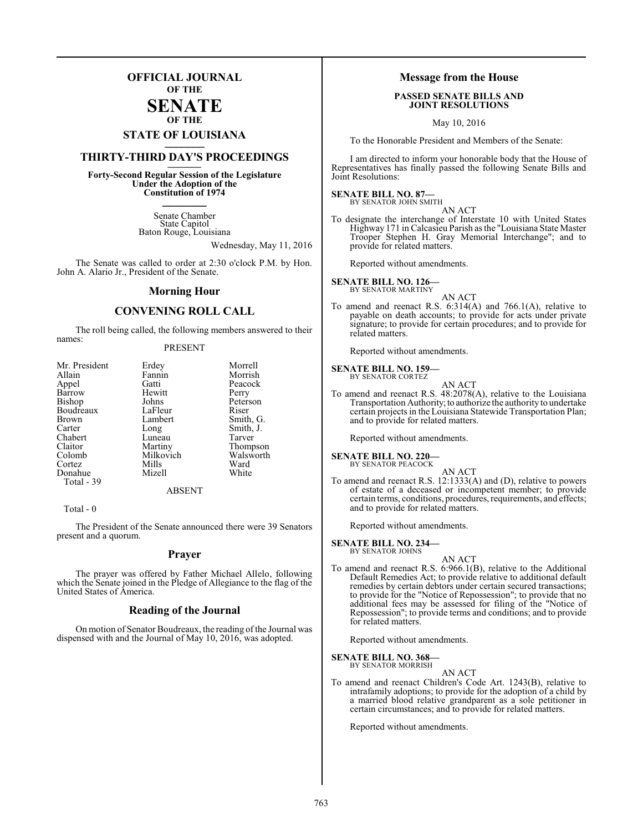### **OFFICIAL JOURNAL OF THE**

### **SENATE OF THE**

# **STATE OF LOUISIANA \_\_\_\_\_\_\_**

### **THIRTY-THIRD DAY'S PROCEEDINGS \_\_\_\_\_\_\_**

**Forty-Second Regular Session of the Legislature Under the Adoption of the Constitution of 1974 \_\_\_\_\_\_\_**

> Senate Chamber State Capitol Baton Rouge, Louisiana

> > Wednesday, May 11, 2016

The Senate was called to order at 2:30 o'clock P.M. by Hon. John A. Alario Jr., President of the Senate.

### **Morning Hour**

### **CONVENING ROLL CALL**

The roll being called, the following members answered to their names:

### PRESENT

| Mr. President | Erdey     | Morrell   |
|---------------|-----------|-----------|
| Allain        | Fannin    | Morrish   |
| Appel         | Gatti     | Peacock   |
| Barrow        | Hewitt    | Perry     |
| Bishop        | Johns     | Peterson  |
| Boudreaux     | LaFleur   | Riser     |
| <b>Brown</b>  | Lambert   | Smith, G. |
| Carter        | Long      | Smith, J. |
| Chabert       | Luneau    | Tarver    |
| Claitor       | Martiny   | Thompson  |
| Colomb        | Milkovich | Walsworth |
| Cortez        | Mills     | Ward      |
| Donahue       | Mizell    | White     |
| Total - 39    |           |           |
|               | ARSENT    |           |

Total - 0

The President of the Senate announced there were 39 Senators present and a quorum.

### **Prayer**

The prayer was offered by Father Michael Allelo, following which the Senate joined in the Pledge of Allegiance to the flag of the United States of America.

### **Reading of the Journal**

On motion of Senator Boudreaux, the reading of the Journal was dispensed with and the Journal of May 10, 2016, was adopted.

### **Message from the House**

### **PASSED SENATE BILLS AND JOINT RESOLUTIONS**

May 10, 2016

To the Honorable President and Members of the Senate:

I am directed to inform your honorable body that the House of Representatives has finally passed the following Senate Bills and Joint Resolutions:

### **SENATE BILL NO. 87—**<br>BY SENATOR JOHN SMITH

AN ACT

To designate the interchange of Interstate 10 with United States Highway 171 in Calcasieu Parish as the "Louisiana State Master Trooper Stephen H. Gray Memorial Interchange"; and to provide for related matters.

Reported without amendments.

**SENATE BILL NO. 126—** BY SENATOR MARTINY

AN ACT To amend and reenact R.S. 6:314(A) and 766.1(A), relative to payable on death accounts; to provide for acts under private signature; to provide for certain procedures; and to provide for related matters.

Reported without amendments.

### **SENATE BILL NO. 159—** BY SENATOR CORTEZ

| ۰, |
|----|

To amend and reenact R.S. 48:2078(A), relative to the Louisiana Transportation Authority;to authorize the authority to undertake certain projects in the Louisiana Statewide Transportation Plan; and to provide for related matters.

Reported without amendments.

### **SENATE BILL NO. 220—**

BY SENATOR PEACOCK

AN ACT To amend and reenact R.S. 12:1333(A) and (D), relative to powers of estate of a deceased or incompetent member; to provide certain terms, conditions, procedures, requirements, and effects; and to provide for related matters.

Reported without amendments.

### **SENATE BILL NO. 234—** BY SENATOR JOHNS

AN ACT

To amend and reenact R.S. 6:966.1(B), relative to the Additional Default Remedies Act; to provide relative to additional default remedies by certain debtors under certain secured transactions; to provide for the "Notice of Repossession"; to provide that no additional fees may be assessed for filing of the "Notice of Repossession"; to provide terms and conditions; and to provide for related matters.

Reported without amendments.

# **SENATE BILL NO. 368—** BY SENATOR MORRISH

AN ACT

To amend and reenact Children's Code Art. 1243(B), relative to intrafamily adoptions; to provide for the adoption of a child by a married blood relative grandparent as a sole petitioner in certain circumstances; and to provide for related matters.

Reported without amendments.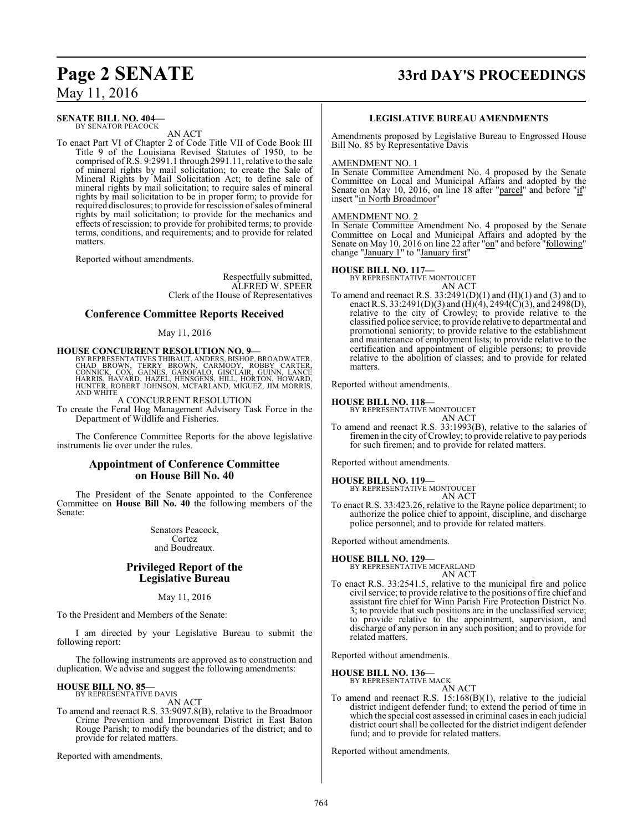### **Page 2 SENATE 33rd DAY'S PROCEEDINGS**

May 11, 2016

#### **SENATE BILL NO. 404—** BY SENATOR PEACOCK

AN ACT

To enact Part VI of Chapter 2 of Code Title VII of Code Book III Title 9 of the Louisiana Revised Statutes of 1950, to be comprised ofR.S. 9:2991.1 through 2991.11, relative to the sale of mineral rights by mail solicitation; to create the Sale of Mineral Rights by Mail Solicitation Act; to define sale of mineral rights by mail solicitation; to require sales of mineral rights by mail solicitation to be in proper form; to provide for required disclosures; to provide for rescission of sales of mineral rights by mail solicitation; to provide for the mechanics and effects of rescission; to provide for prohibited terms; to provide terms, conditions, and requirements; and to provide for related matters.

Reported without amendments.

Respectfully submitted, ALFRED W. SPEER Clerk of the House of Representatives

### **Conference Committee Reports Received**

### May 11, 2016

# **HOUSE CONCURRENT RESOLUTION NO. 9—**

BY REPRESENTATIVES THIBAUT, ANDERS, BISHOP, BROADWATER,<br>CHAD BROWN, TERRY BROWN, CARMODY, ROBBY CARTER,<br>CONNICK, COX, GAINES, GAROFALO, GISCLAIR, GUINN, LANCE<br>HARRIS, HAVARD, HAZEL, HENSGENS, HILL, HORTON, HOWARD,<br>HUNTER, A CONCURRENT RESOLUTION

To create the Feral Hog Management Advisory Task Force in the Department of Wildlife and Fisheries.

The Conference Committee Reports for the above legislative instruments lie over under the rules.

### **Appointment of Conference Committee on House Bill No. 40**

The President of the Senate appointed to the Conference Committee on **House Bill No. 40** the following members of the Senate:

> Senators Peacock, Cortez and Boudreaux.

### **Privileged Report of the Legislative Bureau**

May 11, 2016

To the President and Members of the Senate:

I am directed by your Legislative Bureau to submit the following report:

The following instruments are approved as to construction and duplication. We advise and suggest the following amendments:

### **HOUSE BILL NO. 85—**

BY REPRESENTATIVE DAVIS AN ACT

To amend and reenact R.S. 33:9097.8(B), relative to the Broadmoor Crime Prevention and Improvement District in East Baton Rouge Parish; to modify the boundaries of the district; and to provide for related matters.

Reported with amendments.

### **LEGISLATIVE BUREAU AMENDMENTS**

Amendments proposed by Legislative Bureau to Engrossed House Bill No. 85 by Representative Davis

#### AMENDMENT NO. 1

In Senate Committee Amendment No. 4 proposed by the Senate Committee on Local and Municipal Affairs and adopted by the Senate on May 10, 2016, on line 18 after "parcel" and before "if" insert "in North Broadmoor"

### AMENDMENT NO. 2

In Senate Committee Amendment No. 4 proposed by the Senate Committee on Local and Municipal Affairs and adopted by the Senate on May 10, 2016 on line 22 after "on" and before "following" change "January  $1$ " to "January first"

### **HOUSE BILL NO. 117—** BY REPRESENTATIVE MONTOUCET

AN ACT

To amend and reenact R.S.  $33:2491(D)(1)$  and  $(H)(1)$  and  $(3)$  and to enact R.S. 33:2491(D)(3) and (H)(4), 2494(C)(3), and 2498(D), relative to the city of Crowley; to provide relative to the classified police service; to provide relative to departmental and promotional seniority; to provide relative to the establishment and maintenance of employment lists; to provide relative to the certification and appointment of eligible persons; to provide relative to the abolition of classes; and to provide for related matters.

Reported without amendments.

### **HOUSE BILL NO. 118—**

BY REPRESENTATIVE MONTOUCET

- AN ACT To amend and reenact R.S. 33:1993(B), relative to the salaries of
- firemen in the city of Crowley; to provide relative to pay periods for such firemen; and to provide for related matters.

Reported without amendments.

# **HOUSE BILL NO. 119—** BY REPRESENTATIVE MONTOUCET

AN ACT To enact R.S. 33:423.26, relative to the Rayne police department; to authorize the police chief to appoint, discipline, and discharge police personnel; and to provide for related matters.

Reported without amendments.

$$
HOLISE BILL NO. 129
$$

**HOUSE BILL NO. 129—** BY REPRESENTATIVE MCFARLAND AN ACT

To enact R.S. 33:2541.5, relative to the municipal fire and police civil service; to provide relative to the positions of fire chief and assistant fire chief for Winn Parish Fire Protection District No. 3; to provide that such positions are in the unclassified service; to provide relative to the appointment, supervision, and discharge of any person in any such position; and to provide for related matters.

Reported without amendments.

### **HOUSE BILL NO. 136—**

BY REPRESENTATIVE MACK AN ACT

To amend and reenact R.S. 15:168(B)(1), relative to the judicial district indigent defender fund; to extend the period of time in which the special cost assessed in criminal cases in each judicial district court shall be collected for the district indigent defender fund; and to provide for related matters.

Reported without amendments.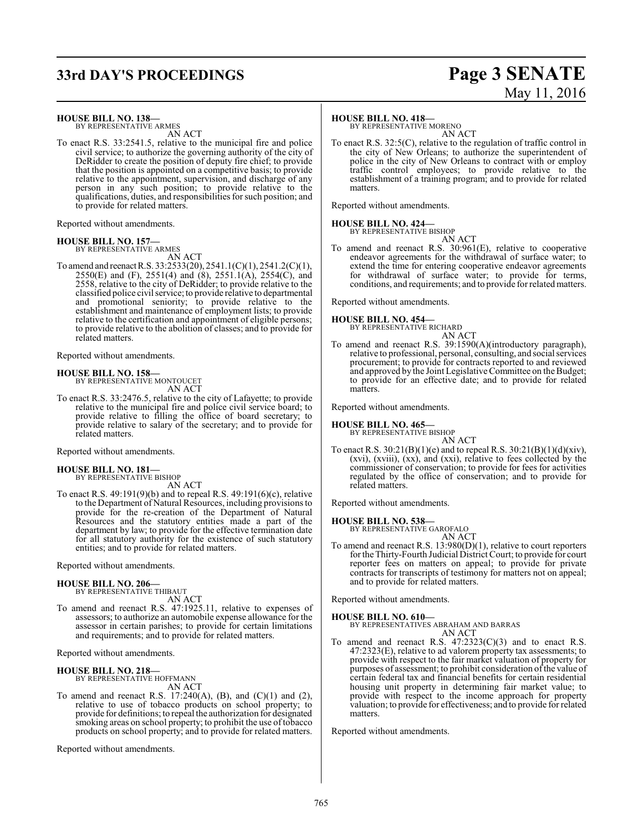## **33rd DAY'S PROCEEDINGS Page 3 SENATE**

### **HOUSE BILL NO. 138—**

BY REPRESENTATIVE ARMES AN ACT

To enact R.S. 33:2541.5, relative to the municipal fire and police civil service; to authorize the governing authority of the city of DeRidder to create the position of deputy fire chief; to provide that the position is appointed on a competitive basis; to provide relative to the appointment, supervision, and discharge of any person in any such position; to provide relative to the qualifications, duties, and responsibilities for such position; and to provide for related matters.

Reported without amendments.

### **HOUSE BILL NO. 157—**

BY REPRESENTATIVE ARMES AN ACT

To amend and reenactR.S. 33:2533(20), 2541.1(C)(1), 2541.2(C)(1), 2550(E) and (F), 2551(4) and (8), 2551.1(A), 2554(C), and 2558, relative to the city of DeRidder; to provide relative to the classified police civil service; to provide relative to departmental and promotional seniority; to provide relative to the establishment and maintenance of employment lists; to provide relative to the certification and appointment of eligible persons; to provide relative to the abolition of classes; and to provide for related matters.

Reported without amendments.

### **HOUSE BILL NO. 158—**

BY REPRESENTATIVE MONTOUCET AN ACT

To enact R.S. 33:2476.5, relative to the city of Lafayette; to provide relative to the municipal fire and police civil service board; to provide relative to filling the office of board secretary; to provide relative to salary of the secretary; and to provide for related matters.

Reported without amendments.

### **HOUSE BILL NO. 181—**

BY REPRESENTATIVE BISHOP AN ACT

To enact R.S. 49:191(9)(b) and to repeal R.S. 49:191(6)(c), relative to the Department of Natural Resources, including provisions to provide for the re-creation of the Department of Natural Resources and the statutory entities made a part of the department by law; to provide for the effective termination date for all statutory authority for the existence of such statutory entities; and to provide for related matters.

Reported without amendments.

### **HOUSE BILL NO. 206—**

BY REPRESENTATIVE THIBAUT AN ACT

To amend and reenact R.S. 47:1925.11, relative to expenses of assessors; to authorize an automobile expense allowance for the assessor in certain parishes; to provide for certain limitations and requirements; and to provide for related matters.

Reported without amendments.

### **HOUSE BILL NO. 218—**

BY REPRESENTATIVE HOFFMANN AN ACT

To amend and reenact R.S. 17:240(A), (B), and (C)(1) and (2), relative to use of tobacco products on school property; to provide for definitions; to repeal the authorization for designated smoking areas on school property; to prohibit the use of tobacco products on school property; and to provide for related matters.

Reported without amendments.

### **HOUSE BILL NO. 418—**

BY REPRESENTATIVE MORENO AN ACT

To enact R.S. 32:5(C), relative to the regulation of traffic control in the city of New Orleans; to authorize the superintendent of police in the city of New Orleans to contract with or employ traffic control employees; to provide relative to the establishment of a training program; and to provide for related matters.

Reported without amendments.

#### **HOUSE BILL NO. 424—** BY REPRESENTATIVE BISHOP

AN ACT

To amend and reenact R.S. 30:961(E), relative to cooperative endeavor agreements for the withdrawal of surface water; to extend the time for entering cooperative endeavor agreements for withdrawal of surface water; to provide for terms, conditions, and requirements; and to provide for related matters.

Reported without amendments.

# **HOUSE BILL NO. 454—** BY REPRESENTATIVE RICHARD

AN ACT

To amend and reenact R.S. 39:1590(A)(introductory paragraph), relative to professional, personal, consulting, and social services procurement; to provide for contracts reported to and reviewed and approved by the Joint Legislative Committee on the Budget; to provide for an effective date; and to provide for related matters.

Reported without amendments.

### **HOUSE BILL NO. 465—** BY REPRESENTATIVE BISHOP

AN ACT

To enact R.S.  $30:21(B)(1)(e)$  and to repeal R.S.  $30:21(B)(1)(d)(xiv)$ , (xvi), (xviii), (xx), and (xxi), relative to fees collected by the commissioner of conservation; to provide for fees for activities regulated by the office of conservation; and to provide for related matters.

Reported without amendments.

### **HOUSE BILL NO. 538—**

BY REPRESENTATIVE GAROFALO AN ACT

To amend and reenact R.S. 13:980(D)(1), relative to court reporters for the Thirty-Fourth Judicial District Court; to provide for court reporter fees on matters on appeal; to provide for private contracts for transcripts of testimony for matters not on appeal; and to provide for related matters.

Reported without amendments.

### **HOUSE BILL NO. 610—**

BY REPRESENTATIVES ABRAHAM AND BARRAS AN ACT

To amend and reenact R.S.  $47:2323(C)(3)$  and to enact R.S. 47:2323(E), relative to ad valorem property tax assessments; to provide with respect to the fair market valuation of property for purposes of assessment; to prohibit consideration ofthe value of certain federal tax and financial benefits for certain residential housing unit property in determining fair market value; to provide with respect to the income approach for property valuation; to provide for effectiveness; and to provide for related matters.

Reported without amendments.

# May 11, 2016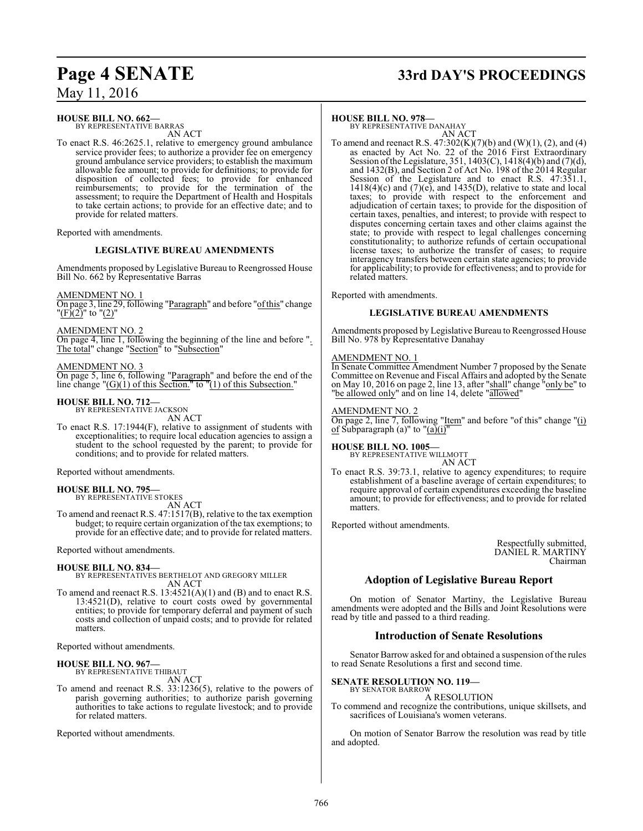### **HOUSE BILL NO. 662—**

BY REPRESENTATIVE BARRAS AN ACT

To enact R.S. 46:2625.1, relative to emergency ground ambulance service provider fees; to authorize a provider fee on emergency ground ambulance service providers; to establish the maximum allowable fee amount; to provide for definitions; to provide for disposition of collected fees; to provide for enhanced reimbursements; to provide for the termination of the assessment; to require the Department of Health and Hospitals to take certain actions; to provide for an effective date; and to provide for related matters.

Reported with amendments.

### **LEGISLATIVE BUREAU AMENDMENTS**

Amendments proposed by Legislative Bureau to Reengrossed House Bill No. 662 by Representative Barras

AMENDMENT NO. 1

On page 3, line 29, following "Paragraph" and before "ofthis" change "(F)(2)" to "(2)"

### AMENDMENT NO. 2

On page 4, line 1, following the beginning of the line and before ". The total" change "Section" to "Subsection"

### AMENDMENT NO. 3

On page 5, line 6, following "Paragraph" and before the end of the line change "(G)(1) of this Section." to "(1) of this Subsection."

#### **HOUSE BILL NO. 712—** BY REPRESENTATIVE JACKSON

AN ACT

To enact R.S. 17:1944(F), relative to assignment of students with exceptionalities; to require local education agencies to assign a student to the school requested by the parent; to provide for conditions; and to provide for related matters.

Reported without amendments.

### **HOUSE BILL NO. 795—**

BY REPRESENTATIVE STOKES

AN ACT To amend and reenact R.S. 47:1517(B), relative to the tax exemption budget; to require certain organization of the tax exemptions; to provide for an effective date; and to provide for related matters.

Reported without amendments.

### **HOUSE BILL NO. 834—**

BY REPRESENTATIVES BERTHELOT AND GREGORY MILLER AN ACT

To amend and reenact R.S.  $13:4521(A)(1)$  and (B) and to enact R.S. 13:4521(D), relative to court costs owed by governmental entities; to provide for temporary deferral and payment of such costs and collection of unpaid costs; and to provide for related matters.

Reported without amendments.

### **HOUSE BILL NO. 967—**

BY REPRESENTATIVE THIBAUT AN ACT

To amend and reenact R.S. 33:1236(5), relative to the powers of parish governing authorities; to authorize parish governing authorities to take actions to regulate livestock; and to provide for related matters.

Reported without amendments.

# **Page 4 SENATE 33rd DAY'S PROCEEDINGS**

### **HOUSE BILL NO. 978—**

BY REPRESENTATIVE DANAHAY AN ACT

To amend and reenact R.S.  $47:302(K)(7)(b)$  and  $(W)(1)$ ,  $(2)$ , and  $(4)$ as enacted by Act No. 22 of the 2016 First Extraordinary Session ofthe Legislature, 351, 1403(C), 1418(4)(b) and (7)(d), and 1432(B), and Section 2 of Act No. 198 of the 2014 Regular Session of the Legislature and to enact R.S. 47:351.1,  $1418(4)$ (c) and  $(7)$ (e), and  $1435(D)$ , relative to state and local taxes; to provide with respect to the enforcement and adjudication of certain taxes; to provide for the disposition of certain taxes, penalties, and interest; to provide with respect to disputes concerning certain taxes and other claims against the state; to provide with respect to legal challenges concerning constitutionality; to authorize refunds of certain occupational license taxes; to authorize the transfer of cases; to require interagency transfers between certain state agencies; to provide for applicability; to provide for effectiveness; and to provide for related matters.

Reported with amendments.

### **LEGISLATIVE BUREAU AMENDMENTS**

Amendments proposed by Legislative Bureau to Reengrossed House Bill No. 978 by Representative Danahay

### AMENDMENT NO. 1

In Senate Committee Amendment Number 7 proposed by the Senate Committee on Revenue and Fiscal Affairs and adopted by the Senate on May 10, 2016 on page 2, line 13, after "shall" change "only be" to "be allowed only" and on line 14, delete "allowed"

### AMENDMENT NO. 2

On page 2, line 7, following "Item" and before "of this" change "(i) of Subparagraph (a)" to " $(a)$ (i)"

# **HOUSE BILL NO. 1005—** BY REPRESENTATIVE WILLMOTT

AN ACT

To enact R.S. 39:73.1, relative to agency expenditures; to require establishment of a baseline average of certain expenditures; to require approval of certain expenditures exceeding the baseline amount; to provide for effectiveness; and to provide for related matters.

Reported without amendments.

Respectfully submitted, DANIEL R. MARTINY Chairman

### **Adoption of Legislative Bureau Report**

On motion of Senator Martiny, the Legislative Bureau amendments were adopted and the Bills and Joint Resolutions were read by title and passed to a third reading.

### **Introduction of Senate Resolutions**

Senator Barrow asked for and obtained a suspension of the rules to read Senate Resolutions a first and second time.

#### **SENATE RESOLUTION NO. 119—** BY SENATOR BARROW

A RESOLUTION

To commend and recognize the contributions, unique skillsets, and sacrifices of Louisiana's women veterans.

On motion of Senator Barrow the resolution was read by title and adopted.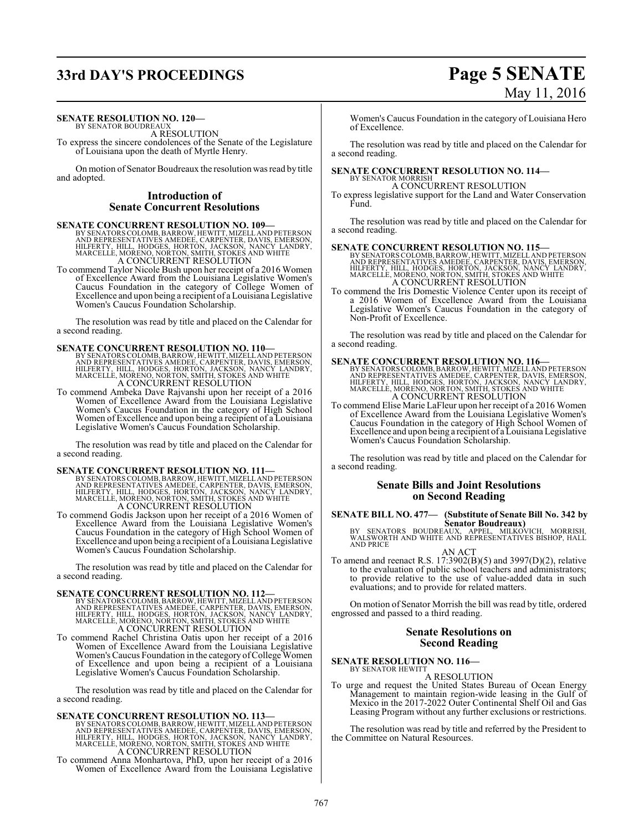# **33rd DAY'S PROCEEDINGS Page 5 SENATE**

### **SENATE RESOLUTION NO. 120-**<br>BY SENATOR BOUDREAUX

A RESOLUTION

To express the sincere condolences of the Senate of the Legislature of Louisiana upon the death of Myrtle Henry.

On motion of Senator Boudreaux the resolution was read by title and adopted.

### **Introduction of Senate Concurrent Resolutions**

**SENATE CONCURRENT RESOLUTION NO. 109—**<br>BY SENATORS COLOMB, BARROW, HEWITT, MIZELL AND PETERSON<br>AND REPRESENTATIVES AMEDEE, CARPENTER, DAVIS, EMERSON,<br>HILFERTY, HILL, HODGES, HORTON, JACKSON, NANCY LANDRY,<br>MARCELLE, MORENO

To commend Taylor Nicole Bush upon her receipt of a 2016 Women of Excellence Award from the Louisiana Legislative Women's Caucus Foundation in the category of College Women of Excellence and upon being a recipient of a Louisiana Legislative Women's Caucus Foundation Scholarship.

The resolution was read by title and placed on the Calendar for a second reading.

**SENATE CONCURRENT RESOLUTION NO. 110—**<br>BY SENATORS COLOMB, BARROW, HEWITT, MIZELL AND PETERSON<br>AND REPRESENTATIVES AMEDEE, CARPENTER, DAVIS, EMERSON,<br>HILFERTY, HILL, HODGES, HORTON, JACKSON, NANCY LANDRY,<br>MARCELLE, MORENO

To commend Ambeka Dave Rajvanshi upon her receipt of a 2016 Women of Excellence Award from the Louisiana Legislative Women's Caucus Foundation in the category of High School Women of Excellence and upon being a recipient of a Louisiana Legislative Women's Caucus Foundation Scholarship.

The resolution was read by title and placed on the Calendar for a second reading.

**SENATE CONCURRENT RESOLUTION NO. 111—**<br>BY SENATORS COLOMB, BARROW, HEWITT, MIZELL AND REPRESON<br>AND REPRESENTATIVES AMEDEE, CARPENTER, DAVIS, EMERSON,<br>HILFERTY, HILL, HODGES, HORTON, JACKSON, NANCY LANDRY,<br>MARCELLE, MORENO A CONCURRENT RESOLUTION

To commend Godis Jackson upon her receipt of a 2016 Women of Excellence Award from the Louisiana Legislative Women's Caucus Foundation in the category of High School Women of Excellence and upon being a recipient of a Louisiana Legislative Women's Caucus Foundation Scholarship.

The resolution was read by title and placed on the Calendar for a second reading.

**SENATE CONCURRENT RESOLUTION NO. 112—**<br>BY SENATORS COLOMB, BARROW, HEWITT, MIZELL AND REPRESON<br>AND REPRESENTATIVES AMEDEE, CARPENTER, DAVIS, EMERSON,<br>HILFERTY, HILL, HODGES, HORTON, JACKSON, NANCY LANDRY,<br>MARCELLE, MORENO A CONCURRENT RESOLUTION

To commend Rachel Christina Oatis upon her receipt of a 2016 Women of Excellence Award from the Louisiana Legislative Women's Caucus Foundation in the category of College Women of Excellence and upon being a recipient of a Louisiana Legislative Women's Caucus Foundation Scholarship.

The resolution was read by title and placed on the Calendar for a second reading.

**SENATE CONCURRENT RESOLUTION NO. 113—**<br>BY SENATORS COLOMB, BARROW, HEWITT, MIZELL AND REPRESON AND REPRESON<br>AND REPRESENTATIVES AMEDEE, CARPENTER, DAVIS, EMERSON,<br>HILFERTY, HILL, HODGES, HORTON, JACKSON, NANCY LANDRY,<br>MAR

To commend Anna Monhartova, PhD, upon her receipt of a 2016 Women of Excellence Award from the Louisiana Legislative

# May 11, 2016

Women's Caucus Foundation in the category of Louisiana Hero of Excellence.

The resolution was read by title and placed on the Calendar for a second reading.

### **SENATE CONCURRENT RESOLUTION NO. 114—** BY SENATOR MORRISH

A CONCURRENT RESOLUTION

To express legislative support for the Land and Water Conservation Fund.

The resolution was read by title and placed on the Calendar for a second reading.

**SENATE CONCURRENT RESOLUTION NO. 115—**<br>BY SENATORS COLOMB, BARROW, HEWITT, MIZELL AND PETERSON<br>AND REPRESENTATIVES AMEDEE, CARPENTER, DAVIS, EMERSON,<br>HILFERTY, HILL, HODGES, HORTON, JACKSON, NANCY LANDRY,<br>MARCELLE, MORENO A CONCURRENT RESOLUTION

To commend the Iris Domestic Violence Center upon its receipt of a 2016 Women of Excellence Award from the Louisiana Legislative Women's Caucus Foundation in the category of Non-Profit of Excellence.

The resolution was read by title and placed on the Calendar for a second reading.

**SENATE CONCURRENT RESOLUTION NO. 116—**<br>BY SENATORS COLOMB, BARROW, HEWITT, MIZELL AND PETERSON<br>AND REPRESENTATIVES AMEDEE, CARPENTER, DAVIS, EMERSON,<br>HILFERTY, HILL, HODGES, HORTON, JACKSON, NANCY LANDRY,<br>MARCELLE, MORENO A CONCURRENT RESOLUTION

To commend Elise Marie LaFleur upon her receipt of a 2016 Women of Excellence Award from the Louisiana Legislative Women's Caucus Foundation in the category of High School Women of Excellence and upon being a recipient of a Louisiana Legislative Women's Caucus Foundation Scholarship.

The resolution was read by title and placed on the Calendar for a second reading.

### **Senate Bills and Joint Resolutions on Second Reading**

# **SENATE BILL NO. 477— (Substitute of Senate Bill No. 342 by**

**Senator Boudreaux)<br>BY SENATORS BOUDREAUX, APPEL, MILKOVICH, MORRISH,<br>WALSWORTH AND WHITE AND REPRESENTATIVES BISHOP, HALL** AND PRICE

AN ACT

To amend and reenact R.S. 17:3902(B)(5) and 3997(D)(2), relative to the evaluation of public school teachers and administrators; to provide relative to the use of value-added data in such evaluations; and to provide for related matters.

On motion of Senator Morrish the bill was read by title, ordered engrossed and passed to a third reading.

### **Senate Resolutions on Second Reading**

**SENATE RESOLUTION NO. 116-**<br>BY SENATOR HEWITT

A RESOLUTION

To urge and request the United States Bureau of Ocean Energy Management to maintain region-wide leasing in the Gulf of Mexico in the 2017-2022 Outer Continental Shelf Oil and Gas Leasing Program without any further exclusions or restrictions.

The resolution was read by title and referred by the President to the Committee on Natural Resources.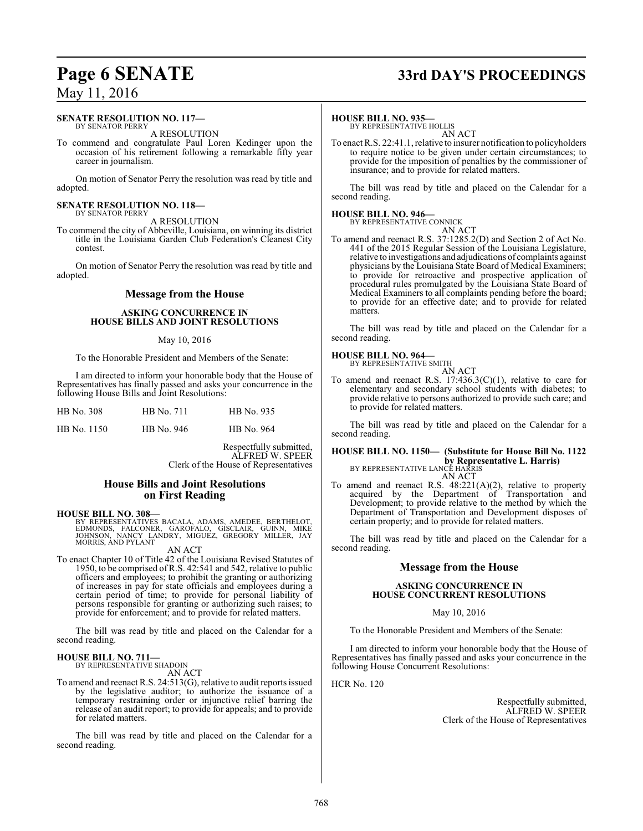# **Page 6 SENATE 33rd DAY'S PROCEEDINGS**

### May 11, 2016

#### **SENATE RESOLUTION NO. 117—** BY SENATOR PERRY

A RESOLUTION

To commend and congratulate Paul Loren Kedinger upon the occasion of his retirement following a remarkable fifty year career in journalism.

On motion of Senator Perry the resolution was read by title and adopted.

#### **SENATE RESOLUTION NO. 118—** BY SENATOR PERRY

A RESOLUTION

To commend the city of Abbeville, Louisiana, on winning its district title in the Louisiana Garden Club Federation's Cleanest City contest.

On motion of Senator Perry the resolution was read by title and adopted.

### **Message from the House**

### **ASKING CONCURRENCE IN HOUSE BILLS AND JOINT RESOLUTIONS**

#### May 10, 2016

To the Honorable President and Members of the Senate:

I am directed to inform your honorable body that the House of Representatives has finally passed and asks your concurrence in the following House Bills and Joint Resolutions:

| <b>HB</b> No. 308 | HB No. 711 | HB No. 935 |
|-------------------|------------|------------|
| HB No. 1150       | HB No. 946 | HB No. 964 |

Respectfully submitted, ALFRED W. SPEER Clerk of the House of Representatives

### **House Bills and Joint Resolutions on First Reading**

#### **HOUSE BILL NO. 308—**

BY REPRESENTATIVES BACALA, ADAMS, AMEDEE, BERTHELOT,<br>EDMONDS, FALCONER, GAROFALO, GISCLAIR, GUINN, MIKE<br>JOHNSON, NANCY LANDRY, MIGUEZ, GREGORY MILLER, JAY<br>MORRIS, AND PYLANT

### AN ACT

To enact Chapter 10 of Title 42 of the Louisiana Revised Statutes of 1950, to be comprised of R.S. 42:541 and 542, relative to public officers and employees; to prohibit the granting or authorizing of increases in pay for state officials and employees during a certain period of time; to provide for personal liability of persons responsible for granting or authorizing such raises; to provide for enforcement; and to provide for related matters.

The bill was read by title and placed on the Calendar for a second reading.

### **HOUSE BILL NO. 711—** BY REPRESENTATIVE SHADOIN

AN ACT

To amend and reenact R.S. 24:513(G), relative to audit reports issued by the legislative auditor; to authorize the issuance of a temporary restraining order or injunctive relief barring the release of an audit report; to provide for appeals; and to provide for related matters.

The bill was read by title and placed on the Calendar for a second reading.

#### **HOUSE BILL NO. 935—**

BY REPRESENTATIVE HOLLIS AN ACT

To enact R.S. 22:41.1, relative to insurer notification to policyholders to require notice to be given under certain circumstances; to provide for the imposition of penalties by the commissioner of insurance; and to provide for related matters.

The bill was read by title and placed on the Calendar for a second reading.

### **HOUSE BILL NO. 946—** BY REPRESENTATIVE CONNICK

AN ACT To amend and reenact R.S. 37:1285.2(D) and Section 2 of Act No. 441 of the 2015 Regular Session of the Louisiana Legislature, relative to investigations and adjudications of complaints against physicians by the Louisiana State Board of Medical Examiners; to provide for retroactive and prospective application of procedural rules promulgated by the Louisiana State Board of Medical Examiners to all complaints pending before the board; to provide for an effective date; and to provide for related matters.

The bill was read by title and placed on the Calendar for a second reading.

### **HOUSE BILL NO. 964—** BY REPRESENTATIVE SMITH

AN ACT To amend and reenact R.S.  $17:436.3(C)(1)$ , relative to care for elementary and secondary school students with diabetes; to provide relative to persons authorized to provide such care; and to provide for related matters.

The bill was read by title and placed on the Calendar for a second reading.

### **HOUSE BILL NO. 1150— (Substitute for House Bill No. 1122 by Representative L. Harris)**<br>BY REPRESENTATIVE LANCE HARRIS AN ACT

To amend and reenact R.S. 48:221(A)(2), relative to property acquired by the Department of Transportation and Development; to provide relative to the method by which the Department of Transportation and Development disposes of certain property; and to provide for related matters.

The bill was read by title and placed on the Calendar for a second reading.

### **Message from the House**

### **ASKING CONCURRENCE IN HOUSE CONCURRENT RESOLUTIONS**

### May 10, 2016

To the Honorable President and Members of the Senate:

I am directed to inform your honorable body that the House of Representatives has finally passed and asks your concurrence in the following House Concurrent Resolutions:

HCR No. 120

Respectfully submitted, ALFRED W. SPEER Clerk of the House of Representatives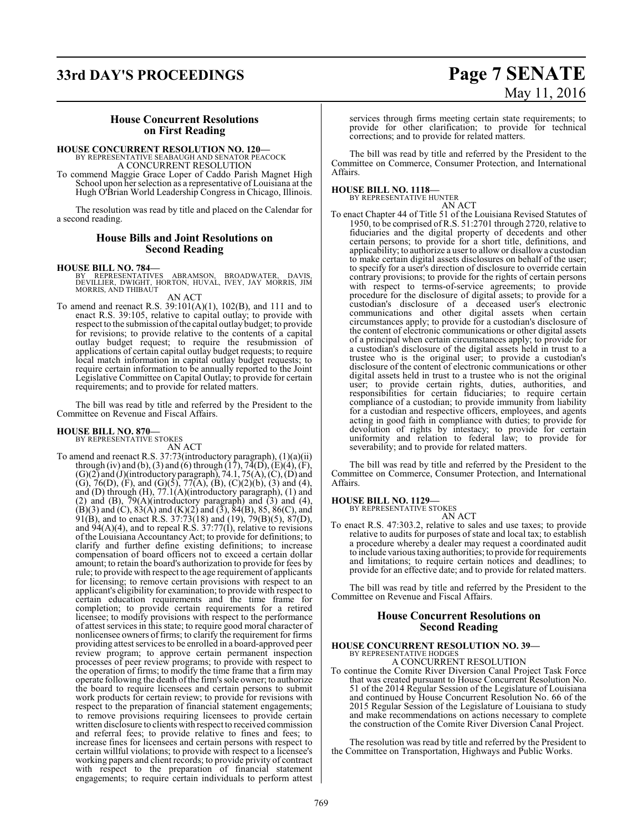# **33rd DAY'S PROCEEDINGS Page 7 SENATE**

# May 11, 2016

### **House Concurrent Resolutions on First Reading**

### **HOUSE CONCURRENT RESOLUTION NO. 120—**

BY REPRESENTATIVE SEABAUGH AND SENATOR PEACOCK A CONCURRENT RESOLUTION

To commend Maggie Grace Loper of Caddo Parish Magnet High School upon her selection as a representative of Louisiana at the Hugh O'Brian World Leadership Congress in Chicago, Illinois.

The resolution was read by title and placed on the Calendar for a second reading.

### **House Bills and Joint Resolutions on Second Reading**

### **HOUSE BILL NO. 784—**

- BY REPRESENTATIVES ABRAMSON, BROADWATER, DAVIS,<br>DEVILLIER, DWIGHT, HORTON, HUVAL, IVEY, JAY-MORRIS, JIM<br>MORRIS,AND-THIBAUT
	- AN ACT
- To amend and reenact R.S. 39:101(A)(1), 102(B), and 111 and to enact R.S. 39:105, relative to capital outlay; to provide with respect to the submission of the capital outlay budget; to provide for revisions; to provide relative to the contents of a capital outlay budget request; to require the resubmission of applications of certain capital outlay budget requests; to require local match information in capital outlay budget requests; to require certain information to be annually reported to the Joint Legislative Committee on Capital Outlay; to provide for certain requirements; and to provide for related matters.

The bill was read by title and referred by the President to the Committee on Revenue and Fiscal Affairs.

# **HOUSE BILL NO. 870—** BY REPRESENTATIVE STOKES

AN ACT

To amend and reenact R.S. 37:73(introductory paragraph), (1)(a)(ii) through (iv) and (b), (3) and (6) through  $(17)$ ,  $74(D)$ ,  $(E)(4)$ ,  $(F)$ ,  $(G)(2)$  and  $(J)($ introductory paragraph), 74.1, 75(A),  $(C)$ ,  $(D)$  and (G), 76(D), (F), and (G)(5), 77(A), (B), (C)(2)(b), (3) and (4), and (D) through (H), 77.1(A)(introductory paragraph), (1) and (2) and (B),  $\bar{7}9(A)$ (introductory paragraph) and (3) and (4),  $(B)(3)$  and  $(C)$ ,  $83(A)$  and  $(K)(2)$  and  $(3)$ ,  $84(B)$ ,  $85$ ,  $86(C)$ , and 91(B), and to enact R.S. 37:73(18) and (19), 79(B)(5), 87(D), and  $94(A)(4)$ , and to repeal R.S.  $37:77(I)$ , relative to revisions of the Louisiana Accountancy Act; to provide for definitions; to clarify and further define existing definitions; to increase compensation of board officers not to exceed a certain dollar amount; to retain the board's authorization to provide for fees by rule; to provide with respect to the age requirement of applicants for licensing; to remove certain provisions with respect to an applicant's eligibility for examination; to provide with respect to certain education requirements and the time frame for completion; to provide certain requirements for a retired licensee; to modify provisions with respect to the performance of attest services in this state; to require good moral character of nonlicensee owners of firms; to clarify the requirement for firms providing attest services to be enrolled in a board-approved peer review program; to approve certain permanent inspection processes of peer review programs; to provide with respect to the operation of firms; to modify the time frame that a firm may operate following the death ofthe firm's sole owner; to authorize the board to require licensees and certain persons to submit work products for certain review; to provide for revisions with respect to the preparation of financial statement engagements; to remove provisions requiring licensees to provide certain written disclosure to clients with respect to received commission and referral fees; to provide relative to fines and fees; to increase fines for licensees and certain persons with respect to certain willful violations; to provide with respect to a licensee's working papers and client records; to provide privity of contract with respect to the preparation of financial statement engagements; to require certain individuals to perform attest services through firms meeting certain state requirements; to provide for other clarification; to provide for technical corrections; and to provide for related matters.

The bill was read by title and referred by the President to the Committee on Commerce, Consumer Protection, and International Affairs.

**HOUSE BILL NO. 1118—** BY REPRESENTATIVE HUNTER

AN ACT

To enact Chapter 44 of Title 51 of the Louisiana Revised Statutes of 1950, to be comprised of R.S. 51:2701 through 2720, relative to fiduciaries and the digital property of decedents and other certain persons; to provide for a short title, definitions, and applicability; to authorize a user to allow or disallow a custodian to make certain digital assets disclosures on behalf of the user; to specify for a user's direction of disclosure to override certain contrary provisions; to provide for the rights of certain persons with respect to terms-of-service agreements; to provide procedure for the disclosure of digital assets; to provide for a custodian's disclosure of a deceased user's electronic communications and other digital assets when certain circumstances apply; to provide for a custodian's disclosure of the content of electronic communications or other digital assets of a principal when certain circumstances apply; to provide for a custodian's disclosure of the digital assets held in trust to a trustee who is the original user; to provide a custodian's disclosure of the content of electronic communications or other digital assets held in trust to a trustee who is not the original user; to provide certain rights, duties, authorities, and responsibilities for certain fiduciaries; to require certain compliance of a custodian; to provide immunity from liability for a custodian and respective officers, employees, and agents acting in good faith in compliance with duties; to provide for devolution of rights by intestacy; to provide for certain uniformity and relation to federal law; to provide for severability; and to provide for related matters.

The bill was read by title and referred by the President to the Committee on Commerce, Consumer Protection, and International Affairs.

### **HOUSE BILL NO. 1129—**

BY REPRESENTATIVE STOKES AN ACT

To enact R.S. 47:303.2, relative to sales and use taxes; to provide relative to audits for purposes of state and local tax; to establish a procedure whereby a dealer may request a coordinated audit to include various taxing authorities; to provide for requirements and limitations; to require certain notices and deadlines; to provide for an effective date; and to provide for related matters.

The bill was read by title and referred by the President to the Committee on Revenue and Fiscal Affairs.

### **House Concurrent Resolutions on Second Reading**

# **HOUSE CONCURRENT RESOLUTION NO. 39—** BY REPRESENTATIVE HODGES

A CONCURRENT RESOLUTION

To continue the Comite River Diversion Canal Project Task Force that was created pursuant to House Concurrent Resolution No. 51 of the 2014 Regular Session of the Legislature of Louisiana and continued by House Concurrent Resolution No. 66 of the 2015 Regular Session of the Legislature of Louisiana to study and make recommendations on actions necessary to complete the construction of the Comite River Diversion Canal Project.

The resolution was read by title and referred by the President to the Committee on Transportation, Highways and Public Works.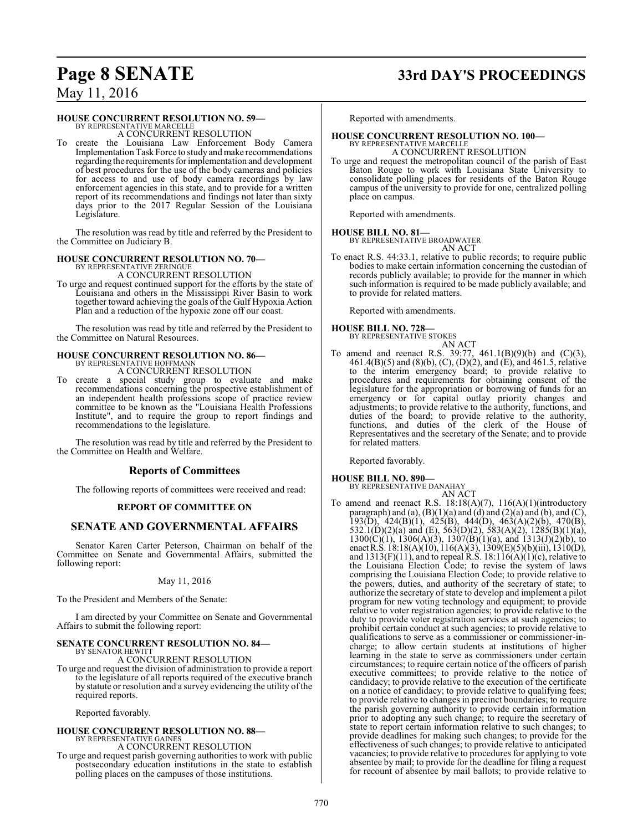### **Page 8 SENATE 33rd DAY'S PROCEEDINGS**

### May 11, 2016

### **HOUSE CONCURRENT RESOLUTION NO. 59—**

BY REPRESENTATIVE MARCELLE A CONCURRENT RESOLUTION

To create the Louisiana Law Enforcement Body Camera Implementation Task Force to study and make recommendations regarding the requirements for implementation and development of best procedures for the use of the body cameras and policies for access to and use of body camera recordings by law enforcement agencies in this state, and to provide for a written report of its recommendations and findings not later than sixty days prior to the 2017 Regular Session of the Louisiana Legislature.

The resolution was read by title and referred by the President to the Committee on Judiciary B.

### **HOUSE CONCURRENT RESOLUTION NO. 70—**

BY REPRESENTATIVE ZERINGUE A CONCURRENT RESOLUTION

To urge and request continued support for the efforts by the state of Louisiana and others in the Mississippi River Basin to work together toward achieving the goals of the Gulf Hypoxia Action Plan and a reduction of the hypoxic zone off our coast.

The resolution was read by title and referred by the President to the Committee on Natural Resources.

# **HOUSE CONCURRENT RESOLUTION NO. 86—** BY REPRESENTATIVE HOFFMANN

A CONCURRENT RESOLUTION

To create a special study group to evaluate and make recommendations concerning the prospective establishment of an independent health professions scope of practice review committee to be known as the "Louisiana Health Professions Institute", and to require the group to report findings and recommendations to the legislature.

The resolution was read by title and referred by the President to the Committee on Health and Welfare.

### **Reports of Committees**

The following reports of committees were received and read:

### **REPORT OF COMMITTEE ON**

### **SENATE AND GOVERNMENTAL AFFAIRS**

Senator Karen Carter Peterson, Chairman on behalf of the Committee on Senate and Governmental Affairs, submitted the following report:

### May 11, 2016

To the President and Members of the Senate:

I am directed by your Committee on Senate and Governmental Affairs to submit the following report:

## **SENATE CONCURRENT RESOLUTION NO. 84—** BY SENATOR HEWITT

### A CONCURRENT RESOLUTION

To urge and request the division of administration to provide a report to the legislature of all reports required of the executive branch by statute or resolution and a survey evidencing the utility of the required reports.

Reported favorably.

#### **HOUSE CONCURRENT RESOLUTION NO. 88—** BY REPRESENTATIVE GAINES A CONCURRENT RESOLUTION

To urge and request parish governing authorities to work with public postsecondary education institutions in the state to establish polling places on the campuses of those institutions.

Reported with amendments.

# **HOUSE CONCURRENT RESOLUTION NO. 100—** BY REPRESENTATIVE MARCELLE

A CONCURRENT RESOLUTION

To urge and request the metropolitan council of the parish of East Baton Rouge to work with Louisiana State University to consolidate polling places for residents of the Baton Rouge campus of the university to provide for one, centralized polling place on campus.

Reported with amendments.

**HOUSE BILL NO. 81—** BY REPRESENTATIVE BROADWATER

AN ACT

To enact R.S. 44:33.1, relative to public records; to require public bodies to make certain information concerning the custodian of records publicly available; to provide for the manner in which such information is required to be made publicly available; and to provide for related matters.

Reported with amendments.

### **HOUSE BILL NO. 728—** BY REPRESENTATIVE STOKES

AN ACT

To amend and reenact R.S. 39:77, 461.1(B)(9)(b) and (C)(3), 461.4(B)(5) and (8)(b), (C), (D)(2), and (E), and 461.5, relative to the interim emergency board; to provide relative to procedures and requirements for obtaining consent of the legislature for the appropriation or borrowing of funds for an emergency or for capital outlay priority changes and adjustments; to provide relative to the authority, functions, and duties of the board; to provide relative to the authority, functions, and duties of the clerk of the House of Representatives and the secretary of the Senate; and to provide for related matters.

Reported favorably.

**HOUSE BILL NO. 890—** BY REPRESENTATIVE DANAHAY AN ACT

To amend and reenact R.S. 18:18(A)(7), 116(A)(1)(introductory paragraph) and (a),  $(B)(1)(a)$  and (d) and (2)(a) and (b), and (C), 193(D), 424(B)(1), 425(B), 444(D), 463(A)(2)(b), 470(B), 532.1(D)(2)(a) and (E), 563(D)(2), 583(A)(2), 1285(B)(1)(a),  $1300(C)(1)$ ,  $1306(A)(3)$ ,  $1307(B)(1)(a)$ , and  $1313(J)(2)(b)$ , to enactR.S. 18:18(A)(10), 116(A)(3), 1309(E)(5)(b)(iii), 1310(D), and  $1313(F)(11)$ , and to repeal R.S.  $18:116(A)(1)(c)$ , relative to the Louisiana Election Code; to revise the system of laws comprising the Louisiana Election Code; to provide relative to the powers, duties, and authority of the secretary of state; to authorize the secretary of state to develop and implement a pilot program for new voting technology and equipment; to provide relative to voter registration agencies; to provide relative to the duty to provide voter registration services at such agencies; to prohibit certain conduct at such agencies; to provide relative to qualifications to serve as a commissioner or commissioner-incharge; to allow certain students at institutions of higher learning in the state to serve as commissioners under certain circumstances; to require certain notice of the officers of parish executive committees; to provide relative to the notice of candidacy; to provide relative to the execution of the certificate on a notice of candidacy; to provide relative to qualifying fees; to provide relative to changes in precinct boundaries; to require the parish governing authority to provide certain information prior to adopting any such change; to require the secretary of state to report certain information relative to such changes; to provide deadlines for making such changes; to provide for the effectiveness of such changes; to provide relative to anticipated vacancies; to provide relative to procedures for applying to vote absentee by mail; to provide for the deadline for filing a request for recount of absentee by mail ballots; to provide relative to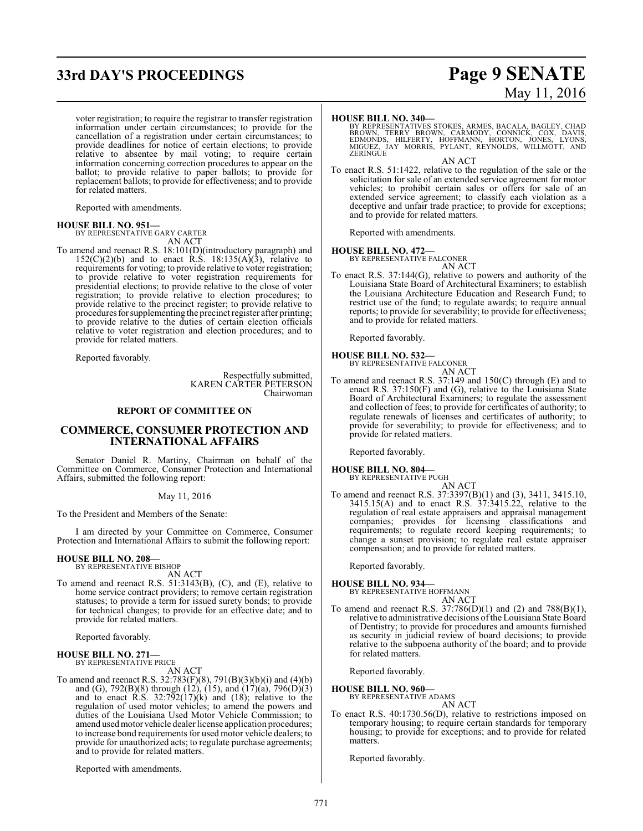## **33rd DAY'S PROCEEDINGS Page 9 SENATE**

voter registration; to require the registrar to transfer registration information under certain circumstances; to provide for the cancellation of a registration under certain circumstances; to provide deadlines for notice of certain elections; to provide relative to absentee by mail voting; to require certain information concerning correction procedures to appear on the ballot; to provide relative to paper ballots; to provide for replacement ballots; to provide for effectiveness; and to provide for related matters.

Reported with amendments.

**HOUSE BILL NO. 951—** BY REPRESENTATIVE GARY CARTER AN ACT

To amend and reenact R.S. 18:101(D)(introductory paragraph) and  $152(C)(2)(b)$  and to enact R.S.  $18:135(A)(3)$ , relative to requirements for voting; to provide relative to voter registration; to provide relative to voter registration requirements for presidential elections; to provide relative to the close of voter registration; to provide relative to election procedures; to provide relative to the precinct register; to provide relative to procedures for supplementing the precinct register after printing; to provide relative to the duties of certain election officials relative to voter registration and election procedures; and to provide for related matters.

Reported favorably.

Respectfully submitted, KAREN CARTER PETERSON Chairwoman

### **REPORT OF COMMITTEE ON**

### **COMMERCE, CONSUMER PROTECTION AND INTERNATIONAL AFFAIRS**

Senator Daniel R. Martiny, Chairman on behalf of the Committee on Commerce, Consumer Protection and International Affairs, submitted the following report:

May 11, 2016

To the President and Members of the Senate:

I am directed by your Committee on Commerce, Consumer Protection and International Affairs to submit the following report:

## **HOUSE BILL NO. 208—** BY REPRESENTATIVE BISHOP

AN ACT

To amend and reenact R.S. 51:3143(B), (C), and (E), relative to home service contract providers; to remove certain registration statuses; to provide a term for issued surety bonds; to provide for technical changes; to provide for an effective date; and to provide for related matters.

Reported favorably.

#### **HOUSE BILL NO. 271—** BY REPRESENTATIVE PRICE

AN ACT To amend and reenact R.S. 32:783(F)(8), 791(B)(3)(b)(i) and (4)(b) and (G), 792(B)(8) through (12), (15), and (17)(a), 796(D)(3) and to enact R.S. 32:792(17)(k) and (18); relative to the regulation of used motor vehicles; to amend the powers and duties of the Louisiana Used Motor Vehicle Commission; to amend used motor vehicle dealer license application procedures; to increase bond requirements for used motor vehicle dealers; to provide for unauthorized acts; to regulate purchase agreements; and to provide for related matters.

Reported with amendments.

# May 11, 2016

#### **HOUSE BILL NO. 340—**

BY REPRESENTATIVES STOKES, ARMES, BACALA, BAGLEY, CHAD<br>BROWN, TERRY BROWN, CARMODY, CONNICK, COX, DAVIS,<br>EDMONDS, HILFERTY, HOFFMANN, HORTON, JONES, LYONS,<br>MIGUEZ, JAY MORRIS, PYLANT, REYNOLDS, WILLMOTT, AND<br>ZERINGUE

AN ACT

To enact R.S. 51:1422, relative to the regulation of the sale or the solicitation for sale of an extended service agreement for motor vehicles; to prohibit certain sales or offers for sale of an extended service agreement; to classify each violation as a deceptive and unfair trade practice; to provide for exceptions; and to provide for related matters.

Reported with amendments.

### **HOUSE BILL NO. 472—**

BY REPRESENTATIVE FALCONER AN ACT

To enact R.S. 37:144(G), relative to powers and authority of the Louisiana State Board of Architectural Examiners; to establish the Louisiana Architecture Education and Research Fund; to restrict use of the fund; to regulate awards; to require annual reports; to provide for severability; to provide for effectiveness; and to provide for related matters.

Reported favorably.

## **HOUSE BILL NO. 532—** BY REPRESENTATIVE FALCONER

AN ACT

To amend and reenact R.S. 37:149 and 150(C) through (E) and to enact R.S. 37:150(F) and (G), relative to the Louisiana State Board of Architectural Examiners; to regulate the assessment and collection of fees; to provide for certificates of authority; to regulate renewals of licenses and certificates of authority; to provide for severability; to provide for effectiveness; and to provide for related matters.

Reported favorably.

### **HOUSE BILL NO. 804—**

BY REPRESENTATIVE PUGH

AN ACT To amend and reenact R.S. 37:3397(B)(1) and (3), 3411, 3415.10,  $3415.15(A)$  and to enact R.S.  $37:3415.22$ , relative to the regulation of real estate appraisers and appraisal management companies; provides for licensing classifications and requirements; to regulate record keeping requirements; to change a sunset provision; to regulate real estate appraiser compensation; and to provide for related matters.

Reported favorably.

- **HOUSE BILL NO. 934—** BY REPRESENTATIVE HOFFMANN
- AN ACT To amend and reenact R.S. 37:786(D)(1) and (2) and 788(B)(1), relative to administrative decisions of the Louisiana State Board of Dentistry; to provide for procedures and amounts furnished as security in judicial review of board decisions; to provide relative to the subpoena authority of the board; and to provide for related matters.

Reported favorably.

**HOUSE BILL NO. 960—**

BY REPRESENTATIVE ADAMS AN ACT

To enact R.S. 40:1730.56(D), relative to restrictions imposed on temporary housing; to require certain standards for temporary housing; to provide for exceptions; and to provide for related matters.

Reported favorably.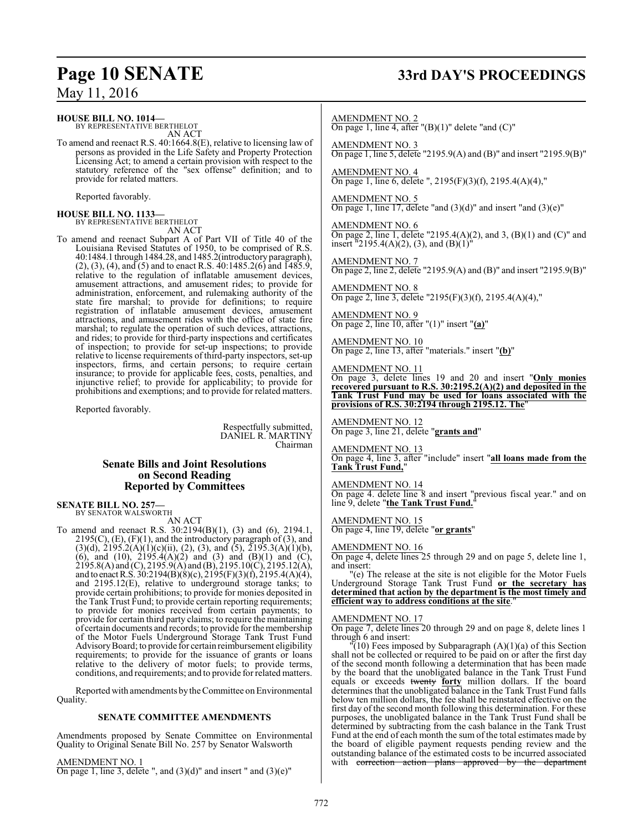### **HOUSE BILL NO. 1014—**

BY REPRESENTATIVE BERTHELOT AN ACT

To amend and reenact R.S. 40:1664.8(E), relative to licensing law of persons as provided in the Life Safety and Property Protection Licensing Act; to amend a certain provision with respect to the statutory reference of the "sex offense" definition; and to provide for related matters.

Reported favorably.

## **HOUSE BILL NO. 1133—** BY REPRESENTATIVE BERTHELOT

AN ACT

To amend and reenact Subpart A of Part VII of Title 40 of the Louisiana Revised Statutes of 1950, to be comprised of R.S. 40:1484.1 through 1484.28, and 1485.2(introductory paragraph), (2), (3), (4), and (5) and to enact R.S. 40:1485.2(6) and 1485.9, relative to the regulation of inflatable amusement devices, amusement attractions, and amusement rides; to provide for administration, enforcement, and rulemaking authority of the state fire marshal; to provide for definitions; to require registration of inflatable amusement devices, amusement attractions, and amusement rides with the office of state fire marshal; to regulate the operation of such devices, attractions, and rides; to provide for third-party inspections and certificates of inspection; to provide for set-up inspections; to provide relative to license requirements of third-party inspectors, set-up inspectors, firms, and certain persons; to require certain insurance; to provide for applicable fees, costs, penalties, and injunctive relief; to provide for applicability; to provide for prohibitions and exemptions; and to provide for related matters.

Reported favorably.

Respectfully submitted, DANIEL R. MARTINY Chairman

### **Senate Bills and Joint Resolutions on Second Reading Reported by Committees**

### **SENATE BILL NO. 257—** BY SENATOR WALSWORTH

AN ACT

To amend and reenact R.S. 30:2194(B)(1), (3) and (6), 2194.1,  $2195(C)$ ,  $(E)$ ,  $(F)(1)$ , and the introductory paragraph of  $(3)$ , and  $(3)(d)$ ,  $2195.2(A)(1)(c)(ii)$ ,  $(2)$ ,  $(3)$ , and  $(5)$ ,  $2195.3(A)(1)(b)$ , (6), and (10),  $2195.4(A)(2)$  and (3) and (B)(1) and (C),  $2195.8(A)$  and (C),  $2195.9(A)$  and (B),  $2195.10(C)$ ,  $2195.12(A)$ , and to enactR.S. 30:2194(B)(8)(c), 2195(F)(3)(f), 2195.4(A)(4), and 2195.12(E), relative to underground storage tanks; to provide certain prohibitions; to provide for monies deposited in the Tank Trust Fund; to provide certain reporting requirements; to provide for monies received from certain payments; to provide for certain third party claims; to require the maintaining of certain documents and records; to provide for the membership of the Motor Fuels Underground Storage Tank Trust Fund Advisory Board; to provide for certain reimbursement eligibility requirements; to provide for the issuance of grants or loans relative to the delivery of motor fuels; to provide terms, conditions, and requirements; and to provide for related matters.

Reported with amendments by the Committee on Environmental Quality.

### **SENATE COMMITTEE AMENDMENTS**

Amendments proposed by Senate Committee on Environmental Quality to Original Senate Bill No. 257 by Senator Walsworth

AMENDMENT NO. 1 On page 1, line 3, delete ", and  $(3)(d)$ " and insert " and  $(3)(e)$ "

## **Page 10 SENATE 33rd DAY'S PROCEEDINGS**

AMENDMENT NO. 2 On page 1, line 4, after " $(B)(1)$ " delete "and  $(C)$ "

AMENDMENT NO. 3 On page 1, line 5, delete "2195.9(A) and (B)" and insert "2195.9(B)"

AMENDMENT NO. 4 On page 1, line 6, delete ", 2195(F)(3)(f), 2195.4(A)(4),"

AMENDMENT NO. 5 On page 1, line 17, delete "and  $(3)(d)$ " and insert "and  $(3)(e)$ "

AMENDMENT NO. 6 On page 2, line 1, delete "2195.4(A)(2), and 3, (B)(1) and (C)" and insert  $\text{``2195.4(A)(2), (3), and (B)(1)''}$ 

AMENDMENT NO. 7 On page 2, line 2, delete "2195.9(A) and (B)" and insert "2195.9(B)"

AMENDMENT NO. 8 On page 2, line 3, delete "2195(F)(3)(f), 2195.4(A)(4),"

AMENDMENT NO. 9 On page 2, line 10, after "(1)" insert "**(a)**"

AMENDMENT NO. 10 On page 2, line 13, after "materials." insert "**(b)**"

### AMENDMENT NO. 11

On page 3, delete lines 19 and 20 and insert "**Only monies recovered pursuant to R.S. 30:2195.2(A)(2) and deposited in the Tank Trust Fund may be used for loans associated with the provisions of R.S. 30:2194 through 2195.12. The**"

AMENDMENT NO. 12 On page 3, line 21, delete "**grants and**"

AMENDMENT NO. 13

On page 4, line 3, after "include" insert "**all loans made from the Tank Trust Fund,**"

### AMENDMENT NO. 14

On page 4. delete line 8 and insert "previous fiscal year." and on line 9, delete "the Tank Trust Fund."

AMENDMENT NO. 15 On page 4, line 19, delete "**or grants**"

### AMENDMENT NO. 16

On page 4, delete lines 25 through 29 and on page 5, delete line 1, and insert:

"(e) The release at the site is not eligible for the Motor Fuels Underground Storage Tank Trust Fund **or the secretary has determined that action by the department is the most timely and efficient way to address conditions at the site**."

### AMENDMENT NO. 17

On page 7, delete lines 20 through 29 and on page 8, delete lines 1 through 6 and insert:

 $\sqrt{10}$  Fees imposed by Subparagraph  $(A)(1)(a)$  of this Section shall not be collected or required to be paid on or after the first day of the second month following a determination that has been made by the board that the unobligated balance in the Tank Trust Fund equals or exceeds twenty **forty** million dollars. If the board determines that the unobligated balance in the Tank Trust Fund falls below ten million dollars, the fee shall be reinstated effective on the first day of the second month following this determination. For these purposes, the unobligated balance in the Tank Trust Fund shall be determined by subtracting from the cash balance in the Tank Trust Fund at the end of each month the sum of the total estimates made by the board of eligible payment requests pending review and the outstanding balance of the estimated costs to be incurred associated<br>with correction action plans approved by the department action plans approved by the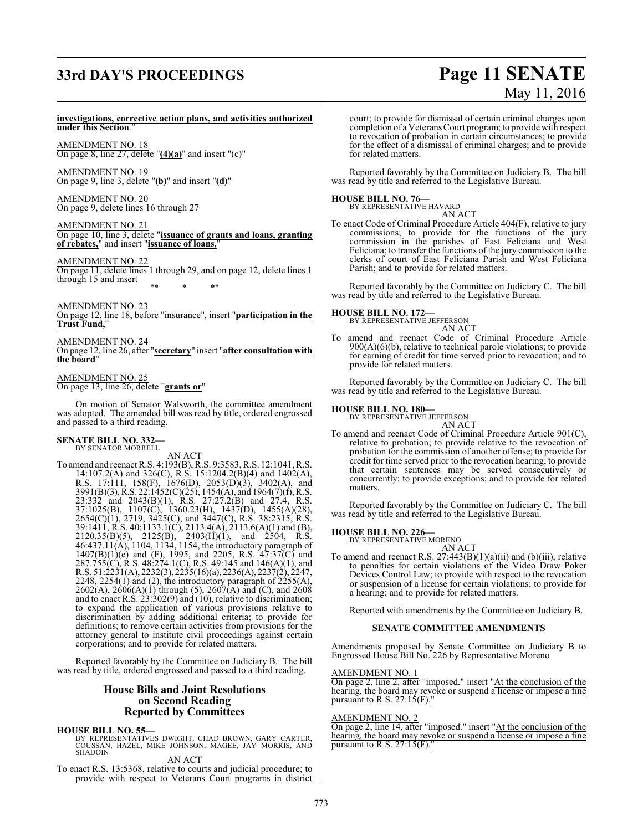## **33rd DAY'S PROCEEDINGS Page 11 SENATE**

# May 11, 2016

#### **investigations, corrective action plans, and activities authorized under this Section**."

AMENDMENT NO. 18 On page 8, line 27, delete "**(4)(a)**" and insert "(c)"

AMENDMENT NO. 19 On page 9, line 3, delete "**(b)**" and insert "**(d)**"

AMENDMENT NO. 20 On page 9, delete lines 16 through 27

AMENDMENT NO. 21 On page 10, line 3, delete "**issuance of grants and loans, granting of rebates,**" and insert "**issuance of loans,**"

AMENDMENT NO. 22

On page 11, delete lines 1 through 29, and on page 12, delete lines 1 through 15 and insert "\* \* \*"

AMENDMENT NO. 23

On page 12, line 18, before "insurance", insert "**participation in the Trust Fund,**"

AMENDMENT NO. 24 On page 12, line 26, after "**secretary**" insert "**after consultation with the board**"

AMENDMENT NO. 25 On page 13, line 26, delete "**grants or**"

On motion of Senator Walsworth, the committee amendment was adopted. The amended bill was read by title, ordered engrossed and passed to a third reading.

#### **SENATE BILL NO. 332—** BY SENATOR MORRELL

AN ACT

To amend and reenact R.S. 4:193(B), R.S. 9:3583, R.S. 12:1041, R.S. 14:107.2(A) and 326(C), R.S. 15:1204.2(B)(4) and 1402(A), R.S. 17:111, 158(F), 1676(D), 2053(D)(3), 3402(A), and 3991(B)(3),R.S. 22:1452(C)(25), 1454(A), and 1964(7)(f), R.S. 23:332 and 2043(B)(1), R.S. 27:27.2(B) and 27.4, R.S. 37:1025(B), 1107(C), 1360.23(H), 1437(D), 1455(A)(28), 2654(C)(1), 2719, 3425(C), and 3447(C), R.S. 38:2315, R.S. 39:1411, R.S. 40:1133.1(C), 2113.4(A), 2113.6(A)(1) and (B),  $2120.35(B)(5)$ ,  $2125(B)$ ,  $2403(H)(1)$ , and  $2504$ , R.S. 46:437.11(A), 1104, 1134, 1154, the introductory paragraph of  $1407(B)(1)(e)$  and (F), 1995, and 2205, R.S.  $47:37(C)$  and 287.755(C), R.S. 48:274.1(C), R.S. 49:145 and 146(A)(1), and R.S. 51:2231(A), 2232(3), 2235(16)(a), 2236(A), 2237(2), 2247, 2248, 2254 $(1)$  and  $(2)$ , the introductory paragraph of  $2255(A)$ , 2602(A), 2606(A)(1) through (5), 2607(A) and (C), and 2608 and to enact R.S. 23:302(9) and (10), relative to discrimination; to expand the application of various provisions relative to discrimination by adding additional criteria; to provide for definitions; to remove certain activities from provisions for the attorney general to institute civil proceedings against certain corporations; and to provide for related matters.

Reported favorably by the Committee on Judiciary B. The bill was read by title, ordered engrossed and passed to a third reading.

### **House Bills and Joint Resolutions on Second Reading Reported by Committees**

### **HOUSE BILL NO. 55—**

BY REPRESENTATIVES DWIGHT, CHAD BROWN, GARY CARTER, COUSSAN, HAZEL, MIKE JOHNSON, MAGEE, JAY MORRIS, AND SHADOIN

AN ACT

To enact R.S. 13:5368, relative to courts and judicial procedure; to provide with respect to Veterans Court programs in district court; to provide for dismissal of certain criminal charges upon completion of a Veterans Court program; to provide with respect to revocation of probation in certain circumstances; to provide for the effect of a dismissal of criminal charges; and to provide for related matters.

Reported favorably by the Committee on Judiciary B. The bill was read by title and referred to the Legislative Bureau.

### **HOUSE BILL NO. 76—**



To enact Code of Criminal Procedure Article 404(F), relative to jury commissions; to provide for the functions of the jury commission in the parishes of East Feliciana and West Feliciana; to transfer the functions of the jury commission to the clerks of court of East Feliciana Parish and West Feliciana Parish; and to provide for related matters.

Reported favorably by the Committee on Judiciary C. The bill was read by title and referred to the Legislative Bureau.

**HOUSE BILL NO. 172—**

BY REPRESENTATIVE JEFFERSON

AN ACT To amend and reenact Code of Criminal Procedure Article 900(A)(6)(b), relative to technical parole violations; to provide for earning of credit for time served prior to revocation; and to provide for related matters.

Reported favorably by the Committee on Judiciary C. The bill was read by title and referred to the Legislative Bureau.

## **HOUSE BILL NO. 180—** BY REPRESENTATIVE JEFFERSON

AN ACT To amend and reenact Code of Criminal Procedure Article 901(C), relative to probation; to provide relative to the revocation of probation for the commission of another offense; to provide for credit for time served prior to the revocation hearing; to provide that certain sentences may be served consecutively or concurrently; to provide exceptions; and to provide for related matters.

Reported favorably by the Committee on Judiciary C. The bill was read by title and referred to the Legislative Bureau.

### **HOUSE BILL NO. 226—**

BY REPRESENTATIVE MORENO AN ACT

To amend and reenact R.S.  $27:443(B)(1)(a)(ii)$  and (b)(iii), relative to penalties for certain violations of the Video Draw Poker Devices Control Law; to provide with respect to the revocation or suspension of a license for certain violations; to provide for a hearing; and to provide for related matters.

Reported with amendments by the Committee on Judiciary B.

### **SENATE COMMITTEE AMENDMENTS**

Amendments proposed by Senate Committee on Judiciary B to Engrossed House Bill No. 226 by Representative Moreno

### AMENDMENT NO. 1

On page 2, line 2, after "imposed." insert "At the conclusion of the hearing, the board may revoke or suspend a license or impose a fine pursuant to R.S.  $27:15(F)$ .

### AMENDMENT NO. 2

On page 2, line 14, after "imposed." insert "At the conclusion of the hearing, the board may revoke or suspend a license or impose a fine pursuant to R.S.  $27:15(F)$ ."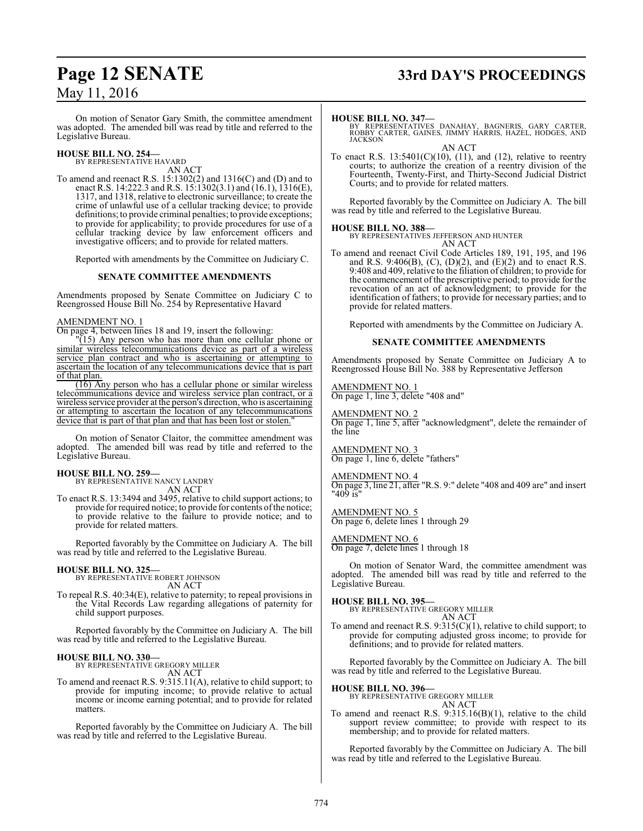### **Page 12 SENATE 33rd DAY'S PROCEEDINGS**

On motion of Senator Gary Smith, the committee amendment was adopted. The amended bill was read by title and referred to the Legislative Bureau.

# **HOUSE BILL NO. 254—** BY REPRESENTATIVE HAVARD

AN ACT To amend and reenact R.S. 15:1302(2) and 1316(C) and (D) and to enact R.S. 14:222.3 and R.S. 15:1302(3.1) and (16.1), 1316(E), 1317, and 1318, relative to electronic surveillance; to create the crime of unlawful use of a cellular tracking device; to provide definitions; to provide criminal penalties; to provide exceptions; to provide for applicability; to provide procedures for use of a cellular tracking device by law enforcement officers and investigative officers; and to provide for related matters.

Reported with amendments by the Committee on Judiciary C.

### **SENATE COMMITTEE AMENDMENTS**

Amendments proposed by Senate Committee on Judiciary C to Reengrossed House Bill No. 254 by Representative Havard

### AMENDMENT NO. 1

On page 4, between lines 18 and 19, insert the following:

"(15) Any person who has more than one cellular phone or similar wireless telecommunications device as part of a wireless service plan contract and who is ascertaining or attempting to ascertain the location of any telecommunications device that is part of that plan.

(16) Any person who has a cellular phone or similar wireless telecommunications device and wireless service plan contract, or a wireless service provider at the person's direction, who is ascertaining or attempting to ascertain the location of any telecommunications device that is part of that plan and that has been lost or stolen.

On motion of Senator Claitor, the committee amendment was adopted. The amended bill was read by title and referred to the Legislative Bureau.

### **HOUSE BILL NO. 259—**

BY REPRESENTATIVE NANCY LANDRY AN ACT

To enact R.S. 13:3494 and 3495, relative to child support actions; to provide for required notice; to provide for contents of the notice; to provide relative to the failure to provide notice; and to provide for related matters.

Reported favorably by the Committee on Judiciary A. The bill was read by title and referred to the Legislative Bureau.

# **HOUSE BILL NO. 325—** BY REPRESENTATIVE ROBERT JOHNSON

AN ACT

To repeal R.S. 40:34(E), relative to paternity; to repeal provisions in the Vital Records Law regarding allegations of paternity for child support purposes.

Reported favorably by the Committee on Judiciary A. The bill was read by title and referred to the Legislative Bureau.

#### **HOUSE BILL NO. 330—** BY REPRESENTATIVE GREGORY MILLER

AN ACT

To amend and reenact R.S. 9:315.11(A), relative to child support; to provide for imputing income; to provide relative to actual income or income earning potential; and to provide for related matters.

Reported favorably by the Committee on Judiciary A. The bill was read by title and referred to the Legislative Bureau.

#### **HOUSE BILL NO. 347—**

BY REPRESENTATIVES DANAHAY, BAGNERIS, GARY CARTER, ROBBY CARTER, GAINES, JIMMY HARRIS, HAZEL, HODGES, AND **JACKSON** 

AN ACT To enact R.S.  $13:5401(C)(10)$ ,  $(11)$ , and  $(12)$ , relative to reentry courts; to authorize the creation of a reentry division of the Fourteenth, Twenty-First, and Thirty-Second Judicial District Courts; and to provide for related matters.

Reported favorably by the Committee on Judiciary A. The bill was read by title and referred to the Legislative Bureau.

**HOUSE BILL NO. 388—** BY REPRESENTATIVES JEFFERSON AND HUNTER

AN ACT

To amend and reenact Civil Code Articles 189, 191, 195, and 196 and R.S. 9:406(B), (C), (D)(2), and (E)(2) and to enact R.S. 9:408 and 409, relative to the filiation of children; to provide for the commencement of the prescriptive period; to provide for the revocation of an act of acknowledgment; to provide for the identification of fathers; to provide for necessary parties; and to provide for related matters.

Reported with amendments by the Committee on Judiciary A.

### **SENATE COMMITTEE AMENDMENTS**

Amendments proposed by Senate Committee on Judiciary A to Reengrossed House Bill No. 388 by Representative Jefferson

AMENDMENT NO. 1 On page 1, line 3, delete "408 and"

AMENDMENT NO. 2 On page 1, line 5, after "acknowledgment", delete the remainder of the line

AMENDMENT NO. 3 On page 1, line 6, delete "fathers"

#### AMENDMENT NO. 4

On page 3, line 21, after "R.S. 9:" delete "408 and 409 are" and insert "409 is"

AMENDMENT NO. 5 On page 6, delete lines 1 through 29

### AMENDMENT NO. 6

On page 7, delete lines 1 through 18

On motion of Senator Ward, the committee amendment was adopted. The amended bill was read by title and referred to the Legislative Bureau.

#### **HOUSE BILL NO. 395—** BY REPRESENTATIVE GREGORY MILLER AN ACT

To amend and reenact R.S. 9:315(C)(1), relative to child support; to provide for computing adjusted gross income; to provide for definitions; and to provide for related matters.

Reported favorably by the Committee on Judiciary A. The bill was read by title and referred to the Legislative Bureau.

### **HOUSE BILL NO. 396—**

BY REPRESENTATIVE GREGORY MILLER AN ACT

To amend and reenact R.S. 9:315.16(B)(1), relative to the child support review committee; to provide with respect to its membership; and to provide for related matters.

Reported favorably by the Committee on Judiciary A. The bill was read by title and referred to the Legislative Bureau.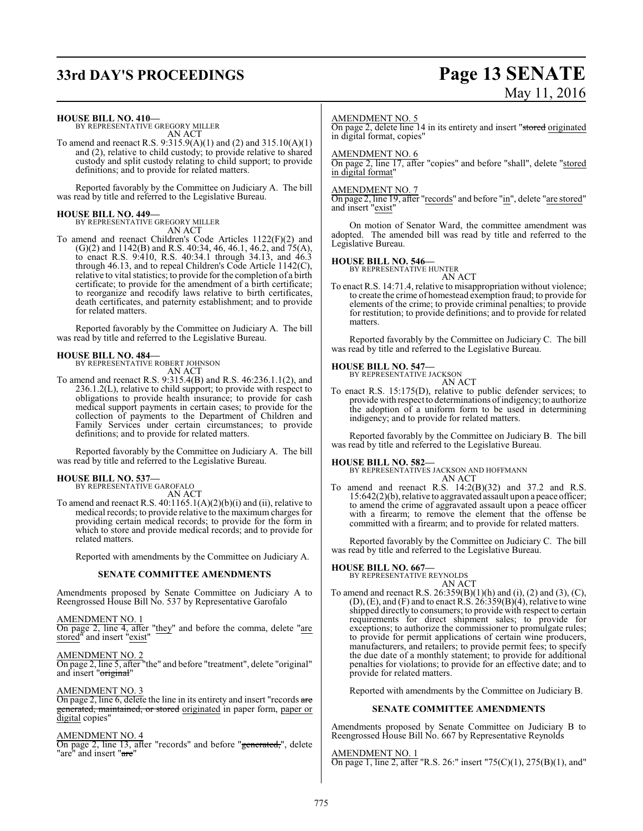## **33rd DAY'S PROCEEDINGS Page 13 SENATE**

# May 11, 2016

**HOUSE BILL NO. 410—**

BY REPRESENTATIVE GREGORY MILLER AN ACT

To amend and reenact R.S. 9:315.9(A)(1) and (2) and 315.10(A)(1) and (2), relative to child custody; to provide relative to shared custody and split custody relating to child support; to provide definitions; and to provide for related matters.

Reported favorably by the Committee on Judiciary A. The bill was read by title and referred to the Legislative Bureau.

## **HOUSE BILL NO. 449—** BY REPRESENTATIVE GREGORY MILLER

AN ACT

To amend and reenact Children's Code Articles 1122(F)(2) and (G)(2) and 1142(B) and R.S. 40:34, 46, 46.1, 46.2, and 75(A), to enact R.S. 9:410, R.S. 40:34.1 through 34.13, and 46.3 through 46.13, and to repeal Children's Code Article 1142(C), relative to vital statistics; to provide for the completion of a birth certificate; to provide for the amendment of a birth certificate; to reorganize and recodify laws relative to birth certificates, death certificates, and paternity establishment; and to provide for related matters.

Reported favorably by the Committee on Judiciary A. The bill was read by title and referred to the Legislative Bureau.

## **HOUSE BILL NO. 484—** BY REPRESENTATIVE ROBERT JOHNSON

AN ACT

To amend and reenact R.S. 9:315.4(B) and R.S. 46:236.1.1(2), and 236.1.2(L), relative to child support; to provide with respect to obligations to provide health insurance; to provide for cash medical support payments in certain cases; to provide for the collection of payments to the Department of Children and Family Services under certain circumstances; to provide definitions; and to provide for related matters.

Reported favorably by the Committee on Judiciary A. The bill was read by title and referred to the Legislative Bureau.

### **HOUSE BILL NO. 537—**

BY REPRESENTATIVE GAROFALO AN ACT

To amend and reenact R.S. 40:1165.1(A)(2)(b)(i) and (ii), relative to medical records; to provide relative to the maximum charges for providing certain medical records; to provide for the form in which to store and provide medical records; and to provide for related matters.

Reported with amendments by the Committee on Judiciary A.

### **SENATE COMMITTEE AMENDMENTS**

Amendments proposed by Senate Committee on Judiciary A to Reengrossed House Bill No. 537 by Representative Garofalo

### AMENDMENT NO. 1

On page 2, line 4, after "they" and before the comma, delete "are stored" and insert "exist"

### AMENDMENT NO. 2

On page 2, line 5, after "the" and before "treatment", delete "original" and insert "original"

### AMENDMENT NO. 3

On page 2, line 6, delete the line in its entirety and insert "records are generated, maintained, or stored originated in paper form, paper or digital copies"

### AMENDMENT NO. 4

On page 2, line 13, after "records" and before "generated,", delete "are" and insert "<del>are</del>"

#### AMENDMENT NO. 5

On page 2, delete line 14 in its entirety and insert "stored originated in digital format, copies"

### AMENDMENT NO. 6

On page 2, line 17, after "copies" and before "shall", delete "stored in digital format"

### AMENDMENT NO. 7

On page 2, line 19, after "records" and before "in", delete "are stored" and insert "exist"

On motion of Senator Ward, the committee amendment was adopted. The amended bill was read by title and referred to the Legislative Bureau.

### **HOUSE BILL NO. 546—** BY REPRESENTATIVE HUNTER

AN ACT

To enact R.S. 14:71.4, relative to misappropriation without violence; to create the crime of homestead exemption fraud; to provide for elements of the crime; to provide criminal penalties; to provide for restitution; to provide definitions; and to provide for related matters.

Reported favorably by the Committee on Judiciary C. The bill was read by title and referred to the Legislative Bureau.

### **HOUSE BILL NO. 547—** BY REPRESENTATIVE JACKSON

AN ACT To enact R.S. 15:175(D), relative to public defender services; to provide with respect to determinations ofindigency; to authorize the adoption of a uniform form to be used in determining indigency; and to provide for related matters.

Reported favorably by the Committee on Judiciary B. The bill was read by title and referred to the Legislative Bureau.

### **HOUSE BILL NO. 582—**

BY REPRESENTATIVES JACKSON AND HOFFMANN AN ACT

To amend and reenact R.S. 14:2(B)(32) and 37.2 and R.S. 15:642(2)(b), relative to aggravated assault upon a peace officer; to amend the crime of aggravated assault upon a peace officer with a firearm; to remove the element that the offense be committed with a firearm; and to provide for related matters.

Reported favorably by the Committee on Judiciary C. The bill was read by title and referred to the Legislative Bureau.

### **HOUSE BILL NO. 667—**

BY REPRESENTATIVE REYNOLDS AN ACT

To amend and reenact R.S.  $26:359(B)(1)(h)$  and  $(i)$ ,  $(2)$  and  $(3)$ ,  $(C)$ ,  $(D)$ ,  $(E)$ , and  $(F)$  and to enact R.S. 26:359 $(B)(4)$ , relative to wine shipped directly to consumers; to provide with respect to certain requirements for direct shipment sales; to provide for exceptions; to authorize the commissioner to promulgate rules; to provide for permit applications of certain wine producers, manufacturers, and retailers; to provide permit fees; to specify the due date of a monthly statement; to provide for additional penalties for violations; to provide for an effective date; and to provide for related matters.

Reported with amendments by the Committee on Judiciary B.

### **SENATE COMMITTEE AMENDMENTS**

Amendments proposed by Senate Committee on Judiciary B to Reengrossed House Bill No. 667 by Representative Reynolds

#### AMENDMENT NO. 1

On page 1, line 2, after "R.S. 26:" insert "75(C)(1), 275(B)(1), and"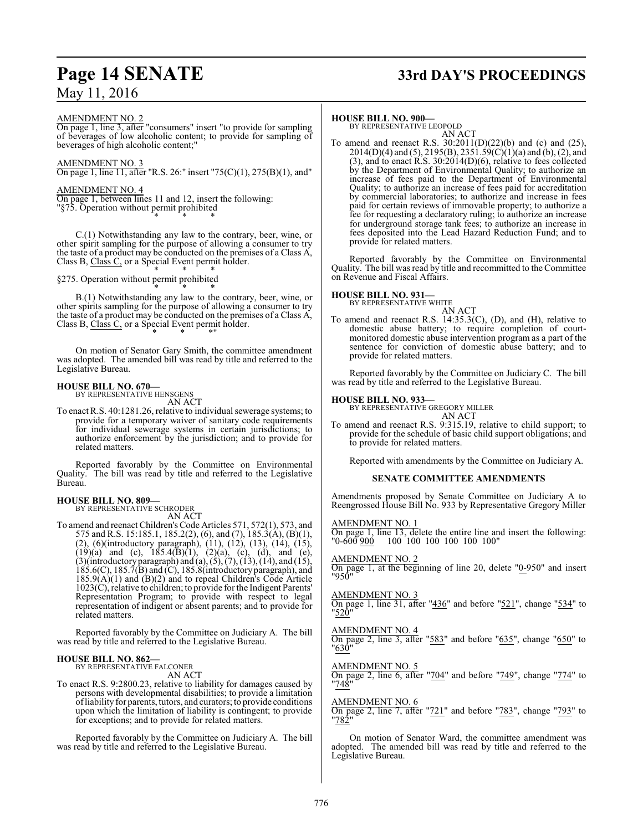## **Page 14 SENATE 33rd DAY'S PROCEEDINGS**

### May 11, 2016

AMENDMENT NO. 2

On page 1, line 3, after "consumers" insert "to provide for sampling of beverages of low alcoholic content; to provide for sampling of beverages of high alcoholic content;"

### AMENDMENT NO. 3

On page 1, line 11, after "R.S. 26:" insert "75(C)(1), 275(B)(1), and"

### AMENDMENT NO. 4

On page 1, between lines 11 and 12, insert the following: "§75. Operation without permit prohibited \* \* \*

C.(1) Notwithstanding any law to the contrary, beer, wine, or other spirit sampling for the purpose of allowing a consumer to try the taste of a product may be conducted on the premises of a Class A, Class B, Class C, or a Special Event permit holder. \* \* \*

§275. Operation without permit prohibited

\* \* \* B.(1) Notwithstanding any law to the contrary, beer, wine, or other spirits sampling for the purpose of allowing a consumer to try the taste of a product may be conducted on the premises of a Class A, Class B, Class C, or a Special Event permit holder. \* \* \*"

On motion of Senator Gary Smith, the committee amendment was adopted. The amended bill was read by title and referred to the Legislative Bureau.

# **HOUSE BILL NO. 670—** BY REPRESENTATIVE HENSGENS

AN ACT

To enact R.S. 40:1281.26, relative to individual sewerage systems; to provide for a temporary waiver of sanitary code requirements for individual sewerage systems in certain jurisdictions; to authorize enforcement by the jurisdiction; and to provide for related matters.

Reported favorably by the Committee on Environmental Quality. The bill was read by title and referred to the Legislative Bureau.

#### **HOUSE BILL NO. 809—** BY REPRESENTATIVE SCHRODER

AN ACT

To amend and reenact Children's Code Articles 571, 572(1), 573, and 575 and R.S. 15:185.1, 185.2(2), (6), and (7), 185.3(A), (B)(1), (2), (6)(introductory paragraph), (11), (12), (13), (14), (15),  $(19)(a)$  and (c),  $185.4(B)(1)$ ,  $(2)(a)$ , (c), (d), and (e),  $(3)$ (introductory paragraph) and  $(a)$ ,  $(5)$ ,  $(7)$ ,  $(13)$ ,  $(14)$ , and  $(15)$ , 185.6(C), 185.7(B) and (C), 185.8(introductory paragraph), and 185.9(A)(1) and (B)(2) and to repeal Children's Code Article 1023(C), relative to children; to provide for the Indigent Parents' Representation Program; to provide with respect to legal representation of indigent or absent parents; and to provide for related matters.

Reported favorably by the Committee on Judiciary A. The bill was read by title and referred to the Legislative Bureau.

### **HOUSE BILL NO. 862—**

BY REPRESENTATIVE FALCONER AN ACT

To enact R.S. 9:2800.23, relative to liability for damages caused by persons with developmental disabilities; to provide a limitation ofliability for parents, tutors, and curators; to provide conditions upon which the limitation of liability is contingent; to provide for exceptions; and to provide for related matters.

Reported favorably by the Committee on Judiciary A. The bill was read by title and referred to the Legislative Bureau.

#### **HOUSE BILL NO. 900—**

BY REPRESENTATIVE LEOPOLD AN ACT

To amend and reenact R.S. 30:2011(D)(22)(b) and (c) and (25), 2014(D)(4) and (5), 2195(B), 2351.59(C)(1)(a) and (b), (2), and (3), and to enact R.S. 30:2014(D)(6), relative to fees collected by the Department of Environmental Quality; to authorize an increase of fees paid to the Department of Environmental Quality; to authorize an increase of fees paid for accreditation by commercial laboratories; to authorize and increase in fees paid for certain reviews of immovable property; to authorize a fee for requesting a declaratory ruling; to authorize an increase for underground storage tank fees; to authorize an increase in fees deposited into the Lead Hazard Reduction Fund; and to provide for related matters.

Reported favorably by the Committee on Environmental Quality. The bill was read by title and recommitted to the Committee on Revenue and Fiscal Affairs.

### **HOUSE BILL NO. 931—**

BY REPRESENTATIVE WHITE

AN ACT To amend and reenact R.S. 14:35.3(C), (D), and (H), relative to domestic abuse battery; to require completion of courtmonitored domestic abuse intervention program as a part of the sentence for conviction of domestic abuse battery; and to provide for related matters.

Reported favorably by the Committee on Judiciary C. The bill was read by title and referred to the Legislative Bureau.

### **HOUSE BILL NO. 933—**

BY REPRESENTATIVE GREGORY MILLER

- AN ACT
- To amend and reenact R.S. 9:315.19, relative to child support; to provide for the schedule of basic child support obligations; and to provide for related matters.

Reported with amendments by the Committee on Judiciary A.

### **SENATE COMMITTEE AMENDMENTS**

Amendments proposed by Senate Committee on Judiciary A to Reengrossed House Bill No. 933 by Representative Gregory Miller

AMENDMENT NO. 1

On page 1, line 13, delete the entire line and insert the following: "0-<del>600</del> 900 100 100 100 100 100 100"

AMENDMENT NO. 2

On page 1, at the beginning of line 20, delete "0-950" and insert "950"

### AMENDMENT NO. 3

On page 1, line 31, after "436" and before "521", change "534" to "520"

AMENDMENT NO. 4 On page 2, line 3, after "583" and before "635", change "650" to "630"

AMENDMENT NO. 5

On page 2, line 6, after "704" and before "749", change "774" to "748

### AMENDMENT NO. 6

On page 2, line 7, after "721" and before "783", change "793" to "782"

On motion of Senator Ward, the committee amendment was adopted. The amended bill was read by title and referred to the Legislative Bureau.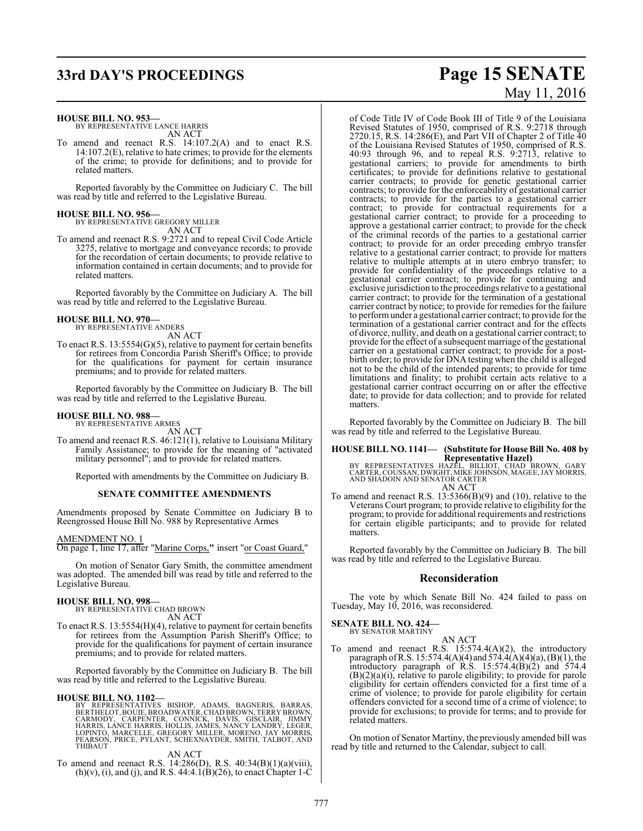**HOUSE BILL NO. 953—**

BY REPRESENTATIVE LANCE HARRIS AN ACT

To amend and reenact R.S. 14:107.2(A) and to enact R.S. 14:107.2(E), relative to hate crimes; to provide for the elements of the crime; to provide for definitions; and to provide for related matters.

Reported favorably by the Committee on Judiciary C. The bill was read by title and referred to the Legislative Bureau.

### **HOUSE BILL NO. 956—** BY REPRESENTATIVE GREGORY MILLER

AN ACT

To amend and reenact R.S. 9:2721 and to repeal Civil Code Article 3275, relative to mortgage and conveyance records; to provide for the recordation of certain documents; to provide relative to information contained in certain documents; and to provide for related matters.

Reported favorably by the Committee on Judiciary A. The bill was read by title and referred to the Legislative Bureau.

## **HOUSE BILL NO. 970—** BY REPRESENTATIVE ANDERS

AN ACT

To enact R.S. 13:5554(G)(5), relative to payment for certain benefits for retirees from Concordia Parish Sheriff's Office; to provide for the qualifications for payment for certain insurance premiums; and to provide for related matters.

Reported favorably by the Committee on Judiciary B. The bill was read by title and referred to the Legislative Bureau.

**HOUSE BILL NO. 988—** BY REPRESENTATIVE ARMES AN ACT

To amend and reenact R.S. 46:121(1), relative to Louisiana Military Family Assistance; to provide for the meaning of "activated military personnel"; and to provide for related matters.

Reported with amendments by the Committee on Judiciary B.

### **SENATE COMMITTEE AMENDMENTS**

Amendments proposed by Senate Committee on Judiciary B to Reengrossed House Bill No. 988 by Representative Armes

AMENDMENT NO. 1

On page 1, line 17, after "Marine Corps,**"** insert "or Coast Guard,"

On motion of Senator Gary Smith, the committee amendment was adopted. The amended bill was read by title and referred to the Legislative Bureau.

### **HOUSE BILL NO. 998—**

BY REPRESENTATIVE CHAD BROWN AN ACT

To enact R.S. 13:5554(H)(4), relative to payment for certain benefits for retirees from the Assumption Parish Sheriff's Office; to provide for the qualifications for payment of certain insurance premiums; and to provide for related matters.

Reported favorably by the Committee on Judiciary B. The bill was read by title and referred to the Legislative Bureau.

### **HOUSE BILL NO. 1102—**

BY REPRESENTATIVES BISHOP, ADAMS, BAGNERIS, BARRAS,<br>BERTHELOT,BOUIE,BROADWATER,CHADBROWN,TERRYBROWN,<br>CARMODY, CARPENTER, CONNICK, DAVIS, GISCLAIR, JIMMY<br>HARRIS,LANCE HARRIS,HOLLIS,JAMES,NANCY LANDRY,LEGER,<br>LOPINTÓ, MARCELL THIBAUT

AN ACT

To amend and reenact R.S. 14:286(D), R.S. 40:34(B)(1)(a)(viii),  $(h)(v)$ , (i), and (j), and R.S. 44:4.1( $\hat{B}$ )(26), to enact Chapter 1-C

# **33rd DAY'S PROCEEDINGS Page 15 SENATE** May 11, 2016

of Code Title IV of Code Book III of Title 9 of the Louisiana Revised Statutes of 1950, comprised of R.S. 9:2718 through 2720.15, R.S. 14:286(E), and Part VII of Chapter 2 of Title 40 of the Louisiana Revised Statutes of 1950, comprised of R.S. 40:93 through 96, and to repeal R.S. 9:2713, relative to gestational carriers; to provide for amendments to birth certificates; to provide for definitions relative to gestational carrier contracts; to provide for genetic gestational carrier contracts; to provide for the enforceability of gestational carrier contracts; to provide for the parties to a gestational carrier contract; to provide for contractual requirements for a gestational carrier contract; to provide for a proceeding to approve a gestational carrier contract; to provide for the check of the criminal records of the parties to a gestational carrier contract; to provide for an order preceding embryo transfer relative to a gestational carrier contract; to provide for matters relative to multiple attempts at in utero embryo transfer; to provide for confidentiality of the proceedings relative to a gestational carrier contract; to provide for continuing and exclusive jurisdiction to the proceedings relative to a gestational carrier contract; to provide for the termination of a gestational carrier contract by notice; to provide for remedies for the failure to performunder a gestational carrier contract; to provide for the termination of a gestational carrier contract and for the effects of divorce, nullity, and death on a gestational carrier contract; to provide for the effect of a subsequent marriage of the gestational carrier on a gestational carrier contract; to provide for a postbirth order; to provide for DNA testing when the child is alleged not to be the child of the intended parents; to provide for time limitations and finality; to prohibit certain acts relative to a gestational carrier contract occurring on or after the effective date; to provide for data collection; and to provide for related matters.

Reported favorably by the Committee on Judiciary B. The bill was read by title and referred to the Legislative Bureau.

### **HOUSE BILL NO. 1141— (Substitute for House Bill No. 408 by**

**Representative Hazel)<br>BY REPRESENTATIVES HAZEL, BILLIOT, CHAD BROWN, GARY<br>CARTER, COUSSAN, DWIGHT, MIKE JOHNSON, MAGEE, JAY MORRIS,<br>AND SHADOIN AND SENATOR CARTER** AN ACT

To amend and reenact R.S. 13:5366(B)(9) and (10), relative to the Veterans Court program; to provide relative to eligibility for the program; to provide for additional requirements and restrictions for certain eligible participants; and to provide for related matters.

Reported favorably by the Committee on Judiciary B. The bill was read by title and referred to the Legislative Bureau.

### **Reconsideration**

The vote by which Senate Bill No. 424 failed to pass on Tuesday, May 10, 2016, was reconsidered.

### **SENATE BILL NO. 424—** BY SENATOR MARTINY

AN ACT

To amend and reenact R.S. 15:574.4(A)(2), the introductory paragraph ofR.S. 15:574.4(A)(4) and 574.4(A)(4)(a), (B)(1), the introductory paragraph of R.S. 15:574.4(B)(2) and 574.4 (B)(2)(a)(i), relative to parole eligibility; to provide for parole eligibility for certain offenders convicted for a first time of a crime of violence; to provide for parole eligibility for certain offenders convicted for a second time of a crime of violence; to provide for exclusions; to provide for terms; and to provide for related matters.

On motion of Senator Martiny, the previously amended bill was read by title and returned to the Calendar, subject to call.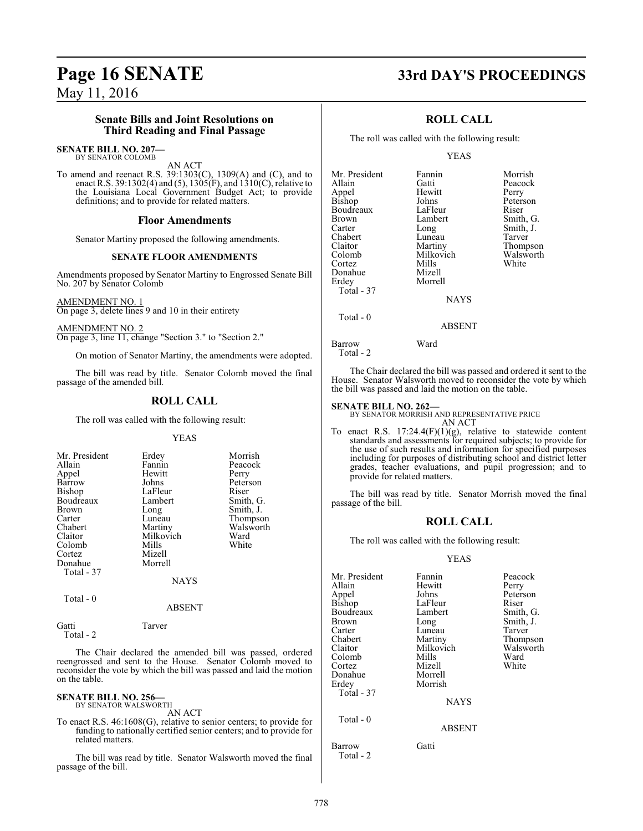## **Page 16 SENATE 33rd DAY'S PROCEEDINGS**

May 11, 2016

### **Senate Bills and Joint Resolutions on Third Reading and Final Passage**

#### **SENATE BILL NO. 207—** BY SENATOR COLOMB

AN ACT

To amend and reenact R.S. 39:1303(C), 1309(A) and (C), and to enact R.S. 39:1302(4) and (5), 1305(F), and 1310(C), relative to the Louisiana Local Government Budget Act; to provide definitions; and to provide for related matters.

### **Floor Amendments**

Senator Martiny proposed the following amendments.

### **SENATE FLOOR AMENDMENTS**

Amendments proposed by Senator Martiny to Engrossed Senate Bill No. 207 by Senator Colomb

AMENDMENT NO. 1 On page 3, delete lines 9 and 10 in their entirety

AMENDMENT NO. 2 On page 3, line 11, change "Section 3." to "Section 2."

On motion of Senator Martiny, the amendments were adopted.

The bill was read by title. Senator Colomb moved the final passage of the amended bill.

### **ROLL CALL**

The roll was called with the following result:

### YEAS

| Mr. President<br>Allain<br>Appel<br>Barrow<br>Bishop<br>Boudreaux<br><b>Brown</b><br>Carter<br>Chabert<br>Claitor<br>Colomb<br>Cortez<br>Donahue<br>Total - 37 | Erdey<br>Fannin<br>Hewitt<br>Johns<br>LaFleur<br>Lambert<br>Long<br>Luneau<br>Martiny<br>Milkovich<br>Mills<br>Mizell<br>Morrell | Morrish<br>Peacock<br>Perry<br>Peterson<br>Riser<br>Smith, G.<br>Smith, J.<br>Thompson<br>Walsworth<br>Ward<br>White |
|----------------------------------------------------------------------------------------------------------------------------------------------------------------|----------------------------------------------------------------------------------------------------------------------------------|----------------------------------------------------------------------------------------------------------------------|
|                                                                                                                                                                | NAYS                                                                                                                             |                                                                                                                      |

Total - 0

### ABSENT

Gatti Tarver Total - 2

The Chair declared the amended bill was passed, ordered reengrossed and sent to the House. Senator Colomb moved to reconsider the vote by which the bill was passed and laid the motion on the table.

#### **SENATE BILL NO. 256—** BY SENATOR WALSWORTH

AN ACT

To enact R.S. 46:1608(G), relative to senior centers; to provide for funding to nationally certified senior centers; and to provide for related matters.

The bill was read by title. Senator Walsworth moved the final passage of the bill.

### **ROLL CALL**

The roll was called with the following result:

### YEAS

| Mr. President | Fannin        | Morrish   |
|---------------|---------------|-----------|
| Allain        | Gatti         | Peacock   |
| Appel         | Hewitt        | Perry     |
| <b>Bishop</b> | Johns         | Peterson  |
| Boudreaux     | LaFleur       | Riser     |
| Brown         | Lambert       | Smith, G. |
| Carter        | Long          | Smith, J. |
| Chabert       | Luneau        | Tarver    |
| Claitor       | Martiny       | Thompson  |
| Colomb        | Milkovich     | Walsworth |
| Cortez        | Mills         | White     |
| Donahue       | Mizell        |           |
| Erdey         | Morrell       |           |
| Total - 37    |               |           |
|               | <b>NAYS</b>   |           |
| Total $-0$    |               |           |
|               | <b>ABSENT</b> |           |
| Rarrow        | Ward          |           |

Total - 2

The Chair declared the bill was passed and ordered it sent to the House. Senator Walsworth moved to reconsider the vote by which the bill was passed and laid the motion on the table.

### **SENATE BILL NO. 262—**

BY SENATOR MORRISH AND REPRESENTATIVE PRICE AN ACT

To enact R.S.  $17:24.4(F)(1)(g)$ , relative to statewide content standards and assessments for required subjects; to provide for the use of such results and information for specified purposes including for purposes of distributing school and district letter grades, teacher evaluations, and pupil progression; and to provide for related matters.

The bill was read by title. Senator Morrish moved the final passage of the bill.

### **ROLL CALL**

The roll was called with the following result:

### YEAS

| Mr. President<br>Allain<br>Appel<br>Bishop<br>Boudreaux<br>Brown<br>Carter<br>Chabert<br>Claitor<br>Colomb<br>Cortez<br>Donahue<br>Erdey<br>Total - 37 | Fannin<br>Hewitt<br>Johns<br>LaFleur<br>Lambert<br>Long<br>Luneau<br>Martiny<br>Milkovich<br>Mills<br>Mizell<br>Morrell<br>Morrish<br><b>NAYS</b> | Peacock<br>Perry<br>Peterson<br>Riser<br>Smith, G.<br>Smith, J.<br>Tarver<br>Thompson<br>Walsworth<br>Ward<br>White |
|--------------------------------------------------------------------------------------------------------------------------------------------------------|---------------------------------------------------------------------------------------------------------------------------------------------------|---------------------------------------------------------------------------------------------------------------------|
| Total - 0                                                                                                                                              | <b>ABSENT</b>                                                                                                                                     |                                                                                                                     |
| Barrow<br>Total - 2                                                                                                                                    | Gatti                                                                                                                                             |                                                                                                                     |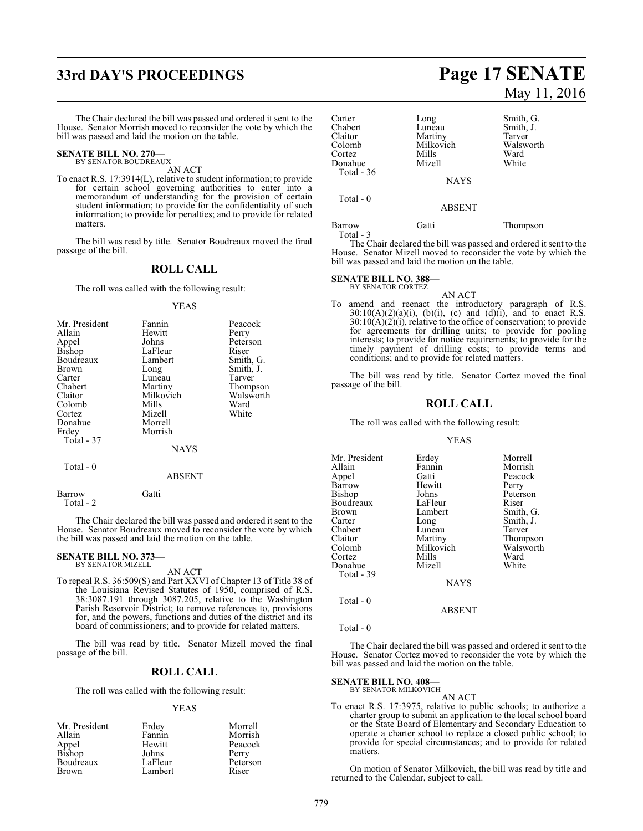## **33rd DAY'S PROCEEDINGS Page 17 SENATE**

The Chair declared the bill was passed and ordered it sent to the House. Senator Morrish moved to reconsider the vote by which the bill was passed and laid the motion on the table.

### **SENATE BILL NO. 270—** BY SENATOR BOUDREAUX

AN ACT

To enact R.S. 17:3914(L), relative to student information; to provide for certain school governing authorities to enter into a memorandum of understanding for the provision of certain student information; to provide for the confidentiality of such information; to provide for penalties; and to provide for related matters.

The bill was read by title. Senator Boudreaux moved the final passage of the bill.

### **ROLL CALL**

The roll was called with the following result:

#### YEAS

| Mr. President | Fannin    | Peacock   |
|---------------|-----------|-----------|
| Allain        | Hewitt    | Perry     |
| Appel         | Johns     | Peterson  |
| Bishop        | LaFleur   | Riser     |
| Boudreaux     | Lambert   | Smith, G. |
| Brown         | Long      | Smith, J. |
| Carter        | Luneau    | Tarver    |
| Chabert       | Martiny   | Thompson  |
| Claitor       | Milkovich | Walsworth |
| Colomb        | Mills     | Ward      |
| Cortez        | Mizell    | White     |
| Donahue       | Morrell   |           |
| Erdey         | Morrish   |           |
| Total - 37    |           |           |
|               | NAYS      |           |
|               |           |           |

### Total - 0

Barrow Gatti Total - 2

The Chair declared the bill was passed and ordered it sent to the House. Senator Boudreaux moved to reconsider the vote by which the bill was passed and laid the motion on the table.

ABSENT

#### **SENATE BILL NO. 373—** BY SENATOR MIZELL

### AN ACT

To repeal R.S. 36:509(S) and Part XXVI of Chapter 13 of Title 38 of the Louisiana Revised Statutes of 1950, comprised of R.S. 38:3087.191 through 3087.205, relative to the Washington Parish Reservoir District; to remove references to, provisions for, and the powers, functions and duties of the district and its board of commissioners; and to provide for related matters.

The bill was read by title. Senator Mizell moved the final passage of the bill.

### **ROLL CALL**

The roll was called with the following result:

### YEAS

| Mr. President   | Erdey   | Morrell  |
|-----------------|---------|----------|
| Allain          | Fannin  | Morrish  |
|                 | Hewitt  | Peacock  |
| Appel<br>Bishop | Johns   | Perry    |
| Boudreaux       | LaFleur | Peterson |
| Brown           | Lambert | Riser    |

# May 11, 2016

| Carter<br>Chabert<br>Claitor<br>Colomb<br>Cortez<br>Donahue<br>Total - 36 | Long<br>Luneau<br>Martiny<br>Milkovich<br>Mills<br>Mizell | Smith, G.<br>Smith, J.<br>Tarver<br>Walsworth<br>Ward<br>White |
|---------------------------------------------------------------------------|-----------------------------------------------------------|----------------------------------------------------------------|
|                                                                           | <b>NAYS</b>                                               |                                                                |
| Total $-0$                                                                | <b>ABSENT</b>                                             |                                                                |
| Barrow                                                                    | Gatti                                                     | Thompson                                                       |

Total - 3

The Chair declared the bill was passed and ordered it sent to the House. Senator Mizell moved to reconsider the vote by which the bill was passed and laid the motion on the table.

### **SENATE BILL NO. 388**

BY SENATOR CORTEZ

AN ACT To amend and reenact the introductory paragraph of R.S.  $30:10(A)(2)(a)(i)$ , (b)(i), (c) and (d)(i), and to enact R.S. 30:10(A)(2)(i), relative to the office of conservation; to provide for agreements for drilling units; to provide for pooling interests; to provide for notice requirements; to provide for the timely payment of drilling costs; to provide terms and conditions; and to provide for related matters.

The bill was read by title. Senator Cortez moved the final passage of the bill.

### **ROLL CALL**

The roll was called with the following result:

#### YEAS

| Mr. President | Erdey       | Morrell   |
|---------------|-------------|-----------|
| Allain        | Fannin      | Morrish   |
| Appel         | Gatti       | Peacock   |
| Barrow        | Hewitt      | Perry     |
| Bishop        | Johns       | Peterson  |
| Boudreaux     | LaFleur     | Riser     |
| Brown         | Lambert     | Smith, G. |
| Carter        | Long        | Smith, J. |
| Chabert       | Luneau      | Tarver    |
| Claitor       | Martiny     | Thompson  |
| Colomb        | Milkovich   | Walsworth |
| Cortez        | Mills       | Ward      |
| Donahue       | Mizell      | White     |
| Total - 39    |             |           |
|               | <b>NAYS</b> |           |
|               |             |           |

Total - 0

ABSENT

Total - 0

The Chair declared the bill was passed and ordered it sent to the House. Senator Cortez moved to reconsider the vote by which the bill was passed and laid the motion on the table.

### **SENATE BILL NO. 408—**<br>BY SENATOR MILKOVICH

AN ACT

To enact R.S. 17:3975, relative to public schools; to authorize a charter group to submit an application to the local school board or the State Board of Elementary and Secondary Education to operate a charter school to replace a closed public school; to provide for special circumstances; and to provide for related matters.

On motion of Senator Milkovich, the bill was read by title and returned to the Calendar, subject to call.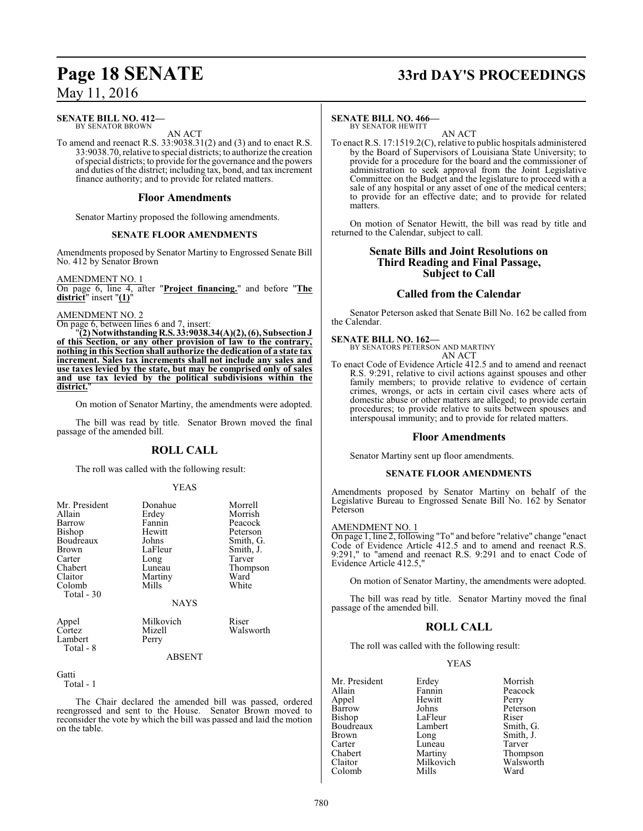#### **SENATE BILL NO. 412—** BY SENATOR BROWN

AN ACT

To amend and reenact R.S. 33:9038.31(2) and (3) and to enact R.S. 33:9038.70, relative to special districts; to authorize the creation ofspecial districts; to provide for the governance and the powers and duties of the district; including tax, bond, and tax increment finance authority; and to provide for related matters.

### **Floor Amendments**

Senator Martiny proposed the following amendments.

### **SENATE FLOOR AMENDMENTS**

Amendments proposed by Senator Martiny to Engrossed Senate Bill No. 412 by Senator Brown

AMENDMENT NO. 1

On page 6, line 4, after "**Project financing.**" and before "**The district**" insert "**(1)**"

### AMENDMENT NO. 2

On page 6, between lines 6 and 7, insert:

"**(2) NotwithstandingR.S. 33:9038.34(A)(2), (6), SubsectionJ of this Section, or any other provision of law to the contrary, nothing in this Section shall authorize the dedication of a state tax increment. Sales tax increments shall not include any sales and use taxes levied by the state, but may be comprised only of sales and use tax levied by the political subdivisions within the** district.

On motion of Senator Martiny, the amendments were adopted.

The bill was read by title. Senator Brown moved the final passage of the amended bill.

### **ROLL CALL**

The roll was called with the following result:

### YEAS

| Mr. President<br>Allain<br>Barrow<br>Bishop<br>Boudreaux<br><b>Brown</b><br>Carter<br>Chabert<br>Claitor<br>Colomb<br>Total - 30 | Donahue<br>Erdey<br>Fannin<br>Hewitt<br>Johns<br>LaFleur<br>Long<br>Luneau<br>Martiny<br>Mills<br><b>NAYS</b> | Morrell<br>Morrish<br>Peacock<br>Peterson<br>Smith, G.<br>Smith, J.<br>Tarver<br>Thompson<br>Ward<br>White |
|----------------------------------------------------------------------------------------------------------------------------------|---------------------------------------------------------------------------------------------------------------|------------------------------------------------------------------------------------------------------------|
| Appel                                                                                                                            | Milkovich                                                                                                     | Riser                                                                                                      |
| Cortez                                                                                                                           | Mizell                                                                                                        | Walsworth                                                                                                  |

Lambert Perry Total - 8

ABSENT

Gatti Total - 1

The Chair declared the amended bill was passed, ordered reengrossed and sent to the House. Senator Brown moved to reconsider the vote by which the bill was passed and laid the motion on the table.

# **Page 18 SENATE 33rd DAY'S PROCEEDINGS**

### **SENATE BILL NO. 466—**

BY SENATOR HEWITT AN ACT

To enact R.S. 17:1519.2(C), relative to public hospitals administered by the Board of Supervisors of Louisiana State University; to provide for a procedure for the board and the commissioner of administration to seek approval from the Joint Legislative Committee on the Budget and the legislature to proceed with a sale of any hospital or any asset of one of the medical centers; to provide for an effective date; and to provide for related matters.

On motion of Senator Hewitt, the bill was read by title and returned to the Calendar, subject to call.

### **Senate Bills and Joint Resolutions on Third Reading and Final Passage, Subject to Call**

### **Called from the Calendar**

Senator Peterson asked that Senate Bill No. 162 be called from the Calendar.

### **SENATE BILL NO. 162—**

BY SENATORS PETERSON AND MARTINY AN ACT

To enact Code of Evidence Article 412.5 and to amend and reenact R.S. 9:291, relative to civil actions against spouses and other family members; to provide relative to evidence of certain crimes, wrongs, or acts in certain civil cases where acts of domestic abuse or other matters are alleged; to provide certain procedures; to provide relative to suits between spouses and interspousal immunity; and to provide for related matters.

### **Floor Amendments**

Senator Martiny sent up floor amendments.

### **SENATE FLOOR AMENDMENTS**

Amendments proposed by Senator Martiny on behalf of the Legislative Bureau to Engrossed Senate Bill No. 162 by Senator Peterson

### AMENDMENT NO. 1

On page 1, line 2, following "To" and before "relative" change "enact Code of Evidence Article 412.5 and to amend and reenact R.S. 9:291," to "amend and reenact R.S. 9:291 and to enact Code of Evidence Article 412.5,"

On motion of Senator Martiny, the amendments were adopted.

The bill was read by title. Senator Martiny moved the final passage of the amended bill.

### **ROLL CALL**

The roll was called with the following result:

### YEAS

Mr. President Erdey Morrish<br>Allain Fannin Peacock Appel Hewit<br>Barrow Johns Bishop LaFleur<br>Boudreaux Lambert Brown Long Smith, J.<br>Carter Luneau Tarver Carter Luneau Tarver<br>
Chabert Martiny Thomp Chabert Martiny Thompson<br>Claitor Milkovich Walsworth Colomb

Fannin Peacock<br>Hewitt Perry Johns Peterson<br>LaFleur Riser Smith, G. Milkovich Walsworth<br>
Mills Ward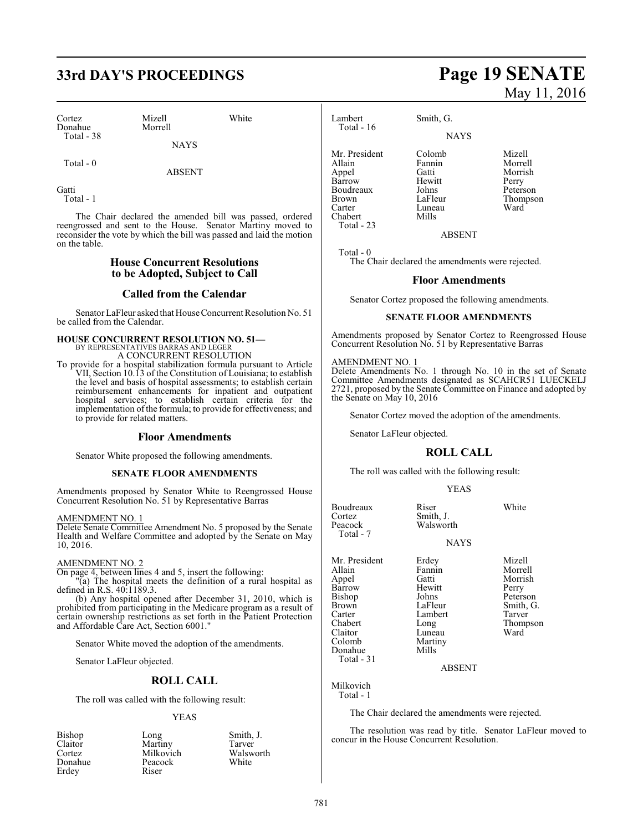## **33rd DAY'S PROCEEDINGS Page 19 SENATE**

Cortez Mizell White Donahue Morrell Total - 38

**NAYS** 

Total - 0

ABSENT

**Gatti** 

Total - 1

The Chair declared the amended bill was passed, ordered reengrossed and sent to the House. Senator Martiny moved to reconsider the vote by which the bill was passed and laid the motion on the table.

### **House Concurrent Resolutions to be Adopted, Subject to Call**

### **Called from the Calendar**

Senator LaFleur asked that HouseConcurrent Resolution No. 51 be called from the Calendar.

### **HOUSE CONCURRENT RESOLUTION NO. 51—**

BY REPRESENTATIVES BARRAS AND LEGER A CONCURRENT RESOLUTION

To provide for a hospital stabilization formula pursuant to Article VII, Section 10.13 of the Constitution of Louisiana; to establish the level and basis of hospital assessments; to establish certain reimbursement enhancements for inpatient and outpatient hospital services; to establish certain criteria for the implementation of the formula; to provide for effectiveness; and to provide for related matters.

### **Floor Amendments**

Senator White proposed the following amendments.

### **SENATE FLOOR AMENDMENTS**

Amendments proposed by Senator White to Reengrossed House Concurrent Resolution No. 51 by Representative Barras

### AMENDMENT NO. 1

Delete Senate Committee Amendment No. 5 proposed by the Senate Health and Welfare Committee and adopted by the Senate on May 10, 2016.

### AMENDMENT NO. 2

On page 4, between lines 4 and 5, insert the following: "(a) The hospital meets the definition of a rural hospital as defined in R.S. 40:1189.3.

(b) Any hospital opened after December 31, 2010, which is prohibited from participating in the Medicare program as a result of certain ownership restrictions as set forth in the Patient Protection and Affordable Care Act, Section 6001."

Senator White moved the adoption of the amendments.

Senator LaFleur objected.

### **ROLL CALL**

The roll was called with the following result:

### YEAS

| Bishop  | Long      | Smith, J. |
|---------|-----------|-----------|
| Claitor | Martiny   | Tarver    |
| Cortez  | Milkovich | Walsworth |
| Donahue | Peacock   | White     |
| Erdey   | Riser     |           |

# May 11, 2016

Lambert Smith, G.

Luneau<br>Mills

**NAYS** 

Mr. President Colomb Mizell<br>Allain Fannin Morrel Barrow Hewitt Perry Total - 23

Allain Fannin Morrell Gatti Morrish<br>
Hewitt Perry Boudreaux Johns Peterson<br>Brown LaFleur Thompson Brown LaFleur Thompson<br>Carter Luneau Ward

ABSENT

Total - 0

Chabert

Total - 16

The Chair declared the amendments were rejected.

### **Floor Amendments**

Senator Cortez proposed the following amendments.

### **SENATE FLOOR AMENDMENTS**

Amendments proposed by Senator Cortez to Reengrossed House Concurrent Resolution No. 51 by Representative Barras

#### AMENDMENT NO. 1

Delete Amendments No. 1 through No. 10 in the set of Senate Committee Amendments designated as SCAHCR51 LUECKELJ 2721, proposed by the Senate Committee on Finance and adopted by the Senate on May 10, 2016

Senator Cortez moved the adoption of the amendments.

Senator LaFleur objected.

### **ROLL CALL**

The roll was called with the following result:

### YEAS

Boudreaux Riser White<br>Cortez Smith, J. Cortez Smith, J.<br>Peacock Walswor Walsworth Total - 7 **NAYS** Mr. President Erdey Mizell<br>Allain Fannin Morrel Allain Fannin Morrell Gatti Morrish<br>Hewitt Perry Barrow Hewitt<br>Bishop Johns Bishop Johns Peterson<br>Brown LaFleur Smith, G Brown LaFleur Smith, G.<br>
Carter Lambert Tarver Carter Lambert<br>Chabert Long Chabert Long Thompson

Luneau<br>Martiny

ABSENT

Milkovich

Colomb Marti<br>
Donahue Mills

Total - 1

Donahue Total - 31

The Chair declared the amendments were rejected.

The resolution was read by title. Senator LaFleur moved to concur in the House Concurrent Resolution.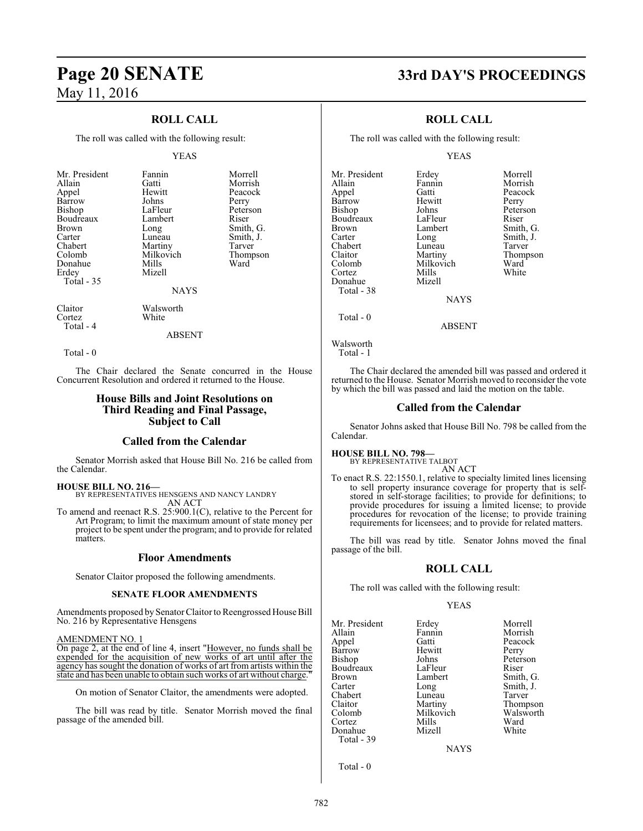### **ROLL CALL**

The roll was called with the following result:

#### YEAS

|  | Mr. President<br>Allain<br>Appel<br>Barrow<br>Bishop<br>Boudreaux<br>Brown<br>Carter<br>Chabert<br>Colomb<br>Donahue<br>Erdey<br>Total - 35 | Fannin<br>Gatti<br>Hewitt<br>Johns<br>LaFleur<br>Lambert<br>Long<br>Luneau<br>Martiny<br>Milkovich<br>Mills<br>Mizell<br><b>NAYS</b> | Morrell<br>Morrish<br>Peacock<br>Perry<br>Peterson<br>Riser<br>Smith, G.<br>Smith, J.<br>Tarver<br>Thompson<br>Ward |
|--|---------------------------------------------------------------------------------------------------------------------------------------------|--------------------------------------------------------------------------------------------------------------------------------------|---------------------------------------------------------------------------------------------------------------------|
|--|---------------------------------------------------------------------------------------------------------------------------------------------|--------------------------------------------------------------------------------------------------------------------------------------|---------------------------------------------------------------------------------------------------------------------|

Claitor Walsworth<br>Cortez White Cortez Total - 4

ABSENT

Total - 0

The Chair declared the Senate concurred in the House Concurrent Resolution and ordered it returned to the House.

### **House Bills and Joint Resolutions on Third Reading and Final Passage, Subject to Call**

### **Called from the Calendar**

Senator Morrish asked that House Bill No. 216 be called from the Calendar.

**HOUSE BILL NO. 216—**

BY REPRESENTATIVES HENSGENS AND NANCY LANDRY AN ACT

To amend and reenact R.S. 25:900.1(C), relative to the Percent for Art Program; to limit the maximum amount of state money per project to be spent under the program; and to provide for related matters.

### **Floor Amendments**

Senator Claitor proposed the following amendments.

### **SENATE FLOOR AMENDMENTS**

Amendments proposed by SenatorClaitor to Reengrossed House Bill No. 216 by Representative Hensgens

#### AMENDMENT NO. 1

On page 2, at the end of line 4, insert "However, no funds shall be expended for the acquisition of new works of art until after the agency has sought the donation of works of art from artists within the state and has been unable to obtain such works of art without charge.

On motion of Senator Claitor, the amendments were adopted.

The bill was read by title. Senator Morrish moved the final passage of the amended bill.

### **Page 20 SENATE 33rd DAY'S PROCEEDINGS**

### **ROLL CALL**

The roll was called with the following result:

YEAS

Mr. President Erdey Morrell<br>Allain Fannin Morrish Appel Gatti Peacock Barrow Hewit<br>Bishop Johns Boudreaux LaFleur<br>Brown Lambert Brown Lambert Smith, G.<br>
Carter Long Smith, J. Chabert Luneau<br>Claitor Martiny Claitor Martiny Thompson Cortez Mills White Donahue Mizell Total - 38 Total - 0

Johns Peterson<br>LaFleur Riser Long Smith, J.<br>Luneau Tarver Milkovich Ward<br>
Mills White

Fannin Morrish<br>Gatti Peacock

**NAYS** 

ABSENT

```
Walsworth
```
Total - 1

The Chair declared the amended bill was passed and ordered it returned to the House. Senator Morrish moved to reconsider the vote by which the bill was passed and laid the motion on the table.

### **Called from the Calendar**

Senator Johns asked that House Bill No. 798 be called from the Calendar.

**HOUSE BILL NO. 798—**

BY REPRESENTATIVE TALBOT AN ACT

To enact R.S. 22:1550.1, relative to specialty limited lines licensing to sell property insurance coverage for property that is selfstored in self-storage facilities; to provide for definitions; to provide procedures for issuing a limited license; to provide procedures for revocation of the license; to provide training requirements for licensees; and to provide for related matters.

The bill was read by title. Senator Johns moved the final passage of the bill.

### **ROLL CALL**

The roll was called with the following result:

### YEAS

Mr. President Erdey Morrell<br>
Allain Fannin Morrish Allain Fannin Morrish Appel Gatti Peacock Barrow Hewit<br>Bishop Johns Boudreaux LaFleur<br>Brown Lambert Brown Lambert Smith, G.<br>
Carter Long Smith, J. Chabert Luneau<br>Claitor Martiny Claitor Martiny Thompson Colomb Milkovich Walsworth Cortez Mills Ward Donahue Mizell White Total - 39

Johns Peterson<br>LaFleur Riser Long Smith, J.<br>
Luneau Tarver

**NAYS** 

Total - 0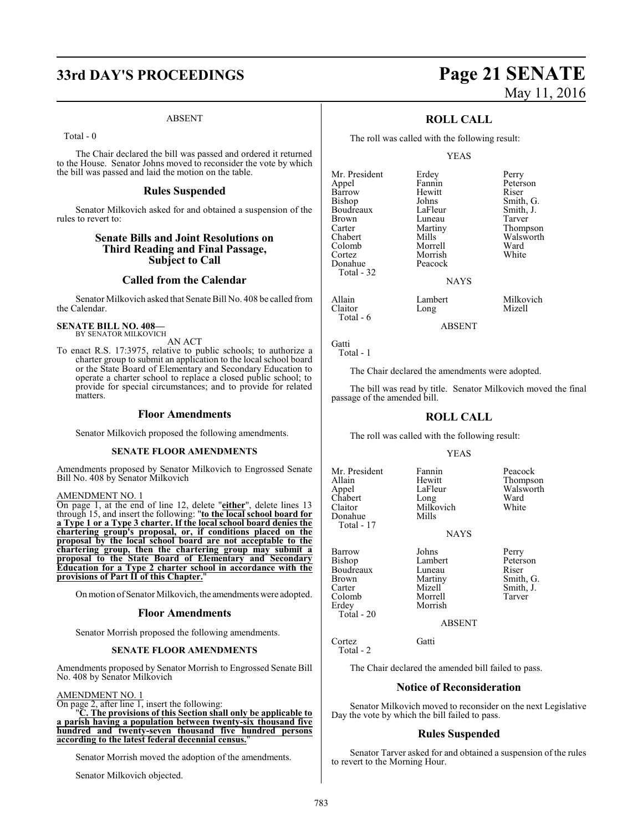## **33rd DAY'S PROCEEDINGS Page 21 SENATE**

#### ABSENT

Total - 0

The Chair declared the bill was passed and ordered it returned to the House. Senator Johns moved to reconsider the vote by which the bill was passed and laid the motion on the table.

### **Rules Suspended**

Senator Milkovich asked for and obtained a suspension of the rules to revert to:

### **Senate Bills and Joint Resolutions on Third Reading and Final Passage, Subject to Call**

### **Called from the Calendar**

Senator Milkovich asked that Senate Bill No. 408 be called from the Calendar.

#### **SENATE BILL NO. 408—** BY SENATOR MILKOVICH

AN ACT

To enact R.S. 17:3975, relative to public schools; to authorize a charter group to submit an application to the local school board or the State Board of Elementary and Secondary Education to operate a charter school to replace a closed public school; to provide for special circumstances; and to provide for related matters.

### **Floor Amendments**

Senator Milkovich proposed the following amendments.

### **SENATE FLOOR AMENDMENTS**

Amendments proposed by Senator Milkovich to Engrossed Senate Bill No. 408 by Senator Milkovich

#### AMENDMENT NO. 1

On page 1, at the end of line 12, delete "**either**", delete lines 13 through 15, and insert the following: "**to the local school board for a Type 1 or a Type 3 charter. If the local school board denies the chartering group's proposal, or, if conditions placed on the proposal by the local school board are not acceptable to the chartering group, then the chartering group may submit a proposal to the State Board of Elementary and Secondary Education for a Type 2 charter school in accordance with the provisions of Part II of this Chapter.**"

On motion of Senator Milkovich, the amendments were adopted.

#### **Floor Amendments**

Senator Morrish proposed the following amendments.

### **SENATE FLOOR AMENDMENTS**

Amendments proposed by Senator Morrish to Engrossed Senate Bill No. 408 by Senator Milkovich

#### AMENDMENT NO. 1

On page 2, after line 1, insert the following:

"**C. The provisions of this Section shall only be applicable to a parish having a population between twenty-six thousand five hundred and twenty-seven thousand five hundred persons according to the latest federal decennial census.**"

Senator Morrish moved the adoption of the amendments.

Senator Milkovich objected.

# May 11, 2016

### **ROLL CALL**

The roll was called with the following result:

#### YEAS

Johns Smith, G.<br>LaFleur Smith, J.

Mr. President Erdey Perry<br>Appel Pannin Peters Appel Fannin Peterson<br>Barrow Hewitt Riser Barrow Hewitt Riser<br>Bishop Johns Smith Boudreaux LaFleur Smith,<br>Brown Luneau Tarver Brown Luneau<br>Carter Martiny Carter **Martiny** Thompson<br>Chabert Mills Walsworth Chabert Mills Walsworth Colomb Morrell Ward Cortez Morrish<br>
Donahue Peacock Total - 32

Long

Peacock

Allain Lambert Milkovich<br>Claitor Long Mizell

ABSENT

**NAYS** 

Gatti Total - 1

Total - 6

The Chair declared the amendments were adopted.

The bill was read by title. Senator Milkovich moved the final passage of the amended bill.

### **ROLL CALL**

The roll was called with the following result:

Milkovich<br>Mills

#### YEAS

Allain Hewitt Thompson Chabert Long Ward<br>Claitor Milkovich White Donahue Total - 17

Erdey Total - 20

Mr. President Fannin Peacock<br>Allain Hewitt Thompse LaFleur Walsworth<br>
Long Ward

NAYS

Barrow Johns Perry Bishop Lambert Peterson Boudreaux Luneau<br>Brown Martiny Carter Mizell Smith, J.<br>Colomb Morrell Tarver Morrell Tarver<br>Morrish Tarver

Brown Martiny Smith, G.<br>
Carter Mizell Smith, J.

ABSENT

Cortez Gatti Total - 2

The Chair declared the amended bill failed to pass.

### **Notice of Reconsideration**

Senator Milkovich moved to reconsider on the next Legislative Day the vote by which the bill failed to pass.

### **Rules Suspended**

Senator Tarver asked for and obtained a suspension of the rules to revert to the Morning Hour.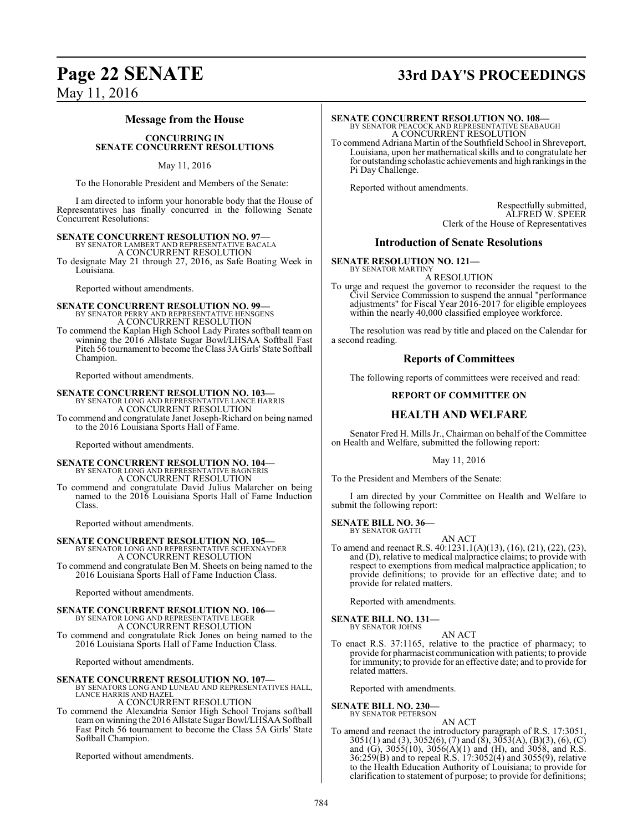## **Page 22 SENATE 33rd DAY'S PROCEEDINGS**

### May 11, 2016

### **Message from the House**

#### **CONCURRING IN SENATE CONCURRENT RESOLUTIONS**

### May 11, 2016

To the Honorable President and Members of the Senate:

I am directed to inform your honorable body that the House of Representatives has finally concurred in the following Senate Concurrent Resolutions:

### **SENATE CONCURRENT RESOLUTION NO. 97—**

BY SENATOR LAMBERT AND REPRESENTATIVE BACALA A CONCURRENT RESOLUTION

To designate May 21 through 27, 2016, as Safe Boating Week in Louisiana.

Reported without amendments.

**SENATE CONCURRENT RESOLUTION NO. 99—**<br>BY SENATOR PERRY AND REPRESENTATIVE HENSGENS<br>A CONCURRENT RESOLUTION

To commend the Kaplan High School Lady Pirates softball team on winning the 2016 Allstate Sugar Bowl/LHSAA Softball Fast Pitch 56 tournament to become the Class 3A Girls' State Softball Champion.

Reported without amendments.

**SENATE CONCURRENT RESOLUTION NO. 103—** BY SENATOR LONG AND REPRESENTATIVE LANCE HARRIS A CONCURRENT RESOLUTION To commend and congratulate Janet Joseph-Richard on being named to the 2016 Louisiana Sports Hall of Fame.

Reported without amendments.

#### **SENATE CONCURRENT RESOLUTION NO. 104—** BY SENATOR LONG AND REPRESENTATIVE BAGNERIS A CONCURRENT RESOLUTION

To commend and congratulate David Julius Malarcher on being named to the 2016 Louisiana Sports Hall of Fame Induction Class.

Reported without amendments.

### **SENATE CONCURRENT RESOLUTION NO. 105—** BY SENATOR LONG AND REPRESENTATIVE SCHEXNAYDER

A CONCURRENT RESOLUTION To commend and congratulate Ben M. Sheets on being named to the 2016 Louisiana Sports Hall of Fame Induction Class.

Reported without amendments.

### **SENATE CONCURRENT RESOLUTION NO. 106—** BY SENATOR LONG AND REPRESENTATIVE LEGER A CONCURRENT RESOLUTION To commend and congratulate Rick Jones on being named to the 2016 Louisiana Sports Hall of Fame Induction Class.

Reported without amendments.

# **SENATE CONCURRENT RESOLUTION NO. 107—**<br>BY SENATORS LONG AND LUNEAU AND REPRESENTATIVES HALL,<br>LANCE HARRIS AND HAZEL

A CONCURRENT RESOLUTION

To commend the Alexandria Senior High School Trojans softball teamon winning the 2016 Allstate Sugar Bowl/LHSAA Softball Fast Pitch 56 tournament to become the Class 5A Girls' State Softball Champion.

Reported without amendments.

### **SENATE CONCURRENT RESOLUTION NO. 108—**

BY SENATOR PEACOCK AND REPRESENTATIVE SEABAUGH A CONCURRENT RESOLUTION

To commend Adriana Martin of the Southfield School in Shreveport, Louisiana, upon her mathematical skills and to congratulate her for outstanding scholastic achievements and high rankings in the Pi Day Challenge.

Reported without amendments.

Respectfully submitted, ALFRED W. SPEER Clerk of the House of Representatives

### **Introduction of Senate Resolutions**

**SENATE RESOLUTION NO. 121—** BY SENATOR MARTINY

A RESOLUTION

To urge and request the governor to reconsider the request to the Civil Service Commission to suspend the annual "performance adjustments" for Fiscal Year 2016-2017 for eligible employees within the nearly 40,000 classified employee workforce.

The resolution was read by title and placed on the Calendar for a second reading.

### **Reports of Committees**

The following reports of committees were received and read:

### **REPORT OF COMMITTEE ON**

### **HEALTH AND WELFARE**

Senator Fred H. Mills Jr., Chairman on behalf of the Committee on Health and Welfare, submitted the following report:

May 11, 2016

To the President and Members of the Senate:

I am directed by your Committee on Health and Welfare to submit the following report:

**SENATE BILL NO. 36—** BY SENATOR GATTI

AN ACT To amend and reenact R.S. 40:1231.1(A)(13), (16), (21), (22), (23), and (D), relative to medical malpractice claims; to provide with respect to exemptions from medical malpractice application; to provide definitions; to provide for an effective date; and to provide for related matters.

Reported with amendments.

**SENATE BILL NO. 131—** BY SENATOR JOHNS

AN ACT

To enact R.S. 37:1165, relative to the practice of pharmacy; to provide for pharmacist communication with patients; to provide for immunity; to provide for an effective date; and to provide for related matters.

Reported with amendments.

### **SENATE BILL NO. 230—**

BY SENATOR PETERSON

AN ACT To amend and reenact the introductory paragraph of R.S. 17:3051, 3051(1) and (3), 3052(6), (7) and (8), 3053(A), (B)(3), (6), (C) and (G), 3055(10), 3056(A)(1) and (H), and 3058, and R.S. 36:259(B) and to repeal R.S. 17:3052(4) and 3055(9), relative to the Health Education Authority of Louisiana; to provide for clarification to statement of purpose; to provide for definitions;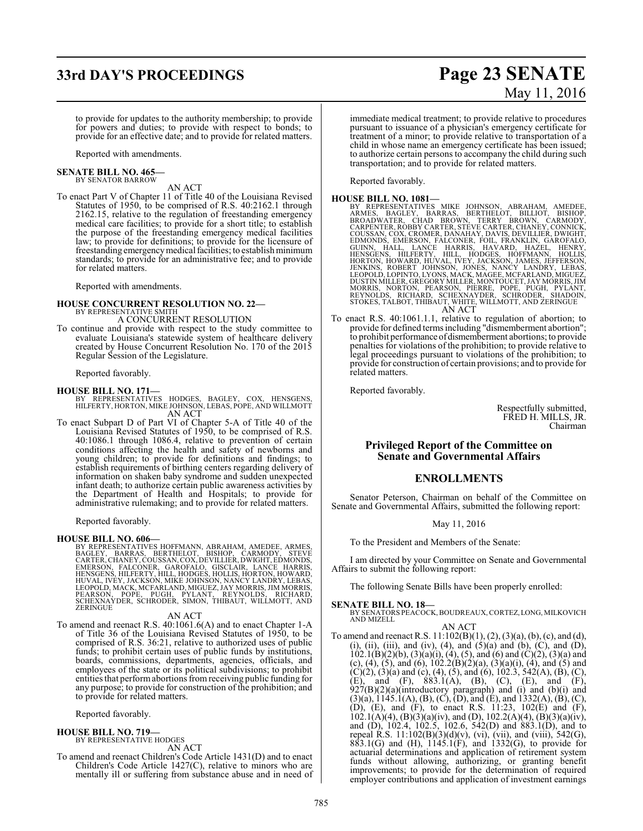## **33rd DAY'S PROCEEDINGS Page 23 SENATE**

# May 11, 2016

to provide for updates to the authority membership; to provide for powers and duties; to provide with respect to bonds; to provide for an effective date; and to provide for related matters.

Reported with amendments.

## **SENATE BILL NO. 465—** BY SENATOR BARROW

AN ACT

To enact Part V of Chapter 11 of Title 40 of the Louisiana Revised Statutes of 1950, to be comprised of R.S. 40:2162.1 through 2162.15, relative to the regulation of freestanding emergency medical care facilities; to provide for a short title; to establish the purpose of the freestanding emergency medical facilities law; to provide for definitions; to provide for the licensure of freestanding emergency medical facilities; to establish minimum standards; to provide for an administrative fee; and to provide for related matters.

Reported with amendments.

# **HOUSE CONCURRENT RESOLUTION NO. 22—**<br>BY REPRESENTATIVE SMITH A CONCURRENT RESOLUTION

To continue and provide with respect to the study committee to evaluate Louisiana's statewide system of healthcare delivery created by House Concurrent Resolution No. 170 of the 2015 Regular Session of the Legislature.

Reported favorably.

**HOUSE BILL NO. 171—** BY REPRESENTATIVES HODGES, BAGLEY, COX, HENSGENS, HILFERTY, HORTON, MIKE JOHNSON, LEBAS, POPE, AND WILLMOTT AN ACT

To enact Subpart D of Part VI of Chapter 5-A of Title 40 of the Louisiana Revised Statutes of 1950, to be comprised of R.S. 40:1086.1 through 1086.4, relative to prevention of certain conditions affecting the health and safety of newborns and young children; to provide for definitions and findings; to establish requirements of birthing centers regarding delivery of information on shaken baby syndrome and sudden unexpected infant death; to authorize certain public awareness activities by the Department of Health and Hospitals; to provide for administrative rulemaking; and to provide for related matters.

Reported favorably.

**HOUSE BILL NO. 606—**<br>BY REPRESENTATIVES HOFFMANN, ABRAHAM, AMEDEE, ARMES,<br>BAGLEY, BARRAS, BERTHELOT, BISHOP, CARMODY, STEVE<br>CARTER, CHANEY, COUSSAN, COX, DEVILLIER, DWIGHT, EDMONDS,<br>EMERSON, FALCONER, GAROFALO, GISCLAIR, HUVAL, IVEY, JACKSON, MIKE JOHNSON, NANCY LANDRY, LEBAS,<br>LEOPOLD, MACK, MCFARLAND, MIGUEZ, JAY MORRIS, JIM MORRIS,<br>PEARSON, POPE, PUGH, PYLANT, REYNOLDS, RICHARD,<br>SCHEXNAYDER, SCHRODER, SIMON, THIBAUT, WILLMOTT, AND<br>ZERING

AN ACT

To amend and reenact R.S. 40:1061.6(A) and to enact Chapter 1-A of Title 36 of the Louisiana Revised Statutes of 1950, to be comprised of R.S. 36:21, relative to authorized uses of public funds; to prohibit certain uses of public funds by institutions, boards, commissions, departments, agencies, officials, and employees of the state or its political subdivisions; to prohibit entities that performabortions fromreceiving public funding for any purpose; to provide for construction of the prohibition; and to provide for related matters.

Reported favorably.

### **HOUSE BILL NO. 719—**

BY REPRESENTATIVE HODGES AN ACT

To amend and reenact Children's Code Article 1431(D) and to enact Children's Code Article 1427(C), relative to minors who are mentally ill or suffering from substance abuse and in need of immediate medical treatment; to provide relative to procedures pursuant to issuance of a physician's emergency certificate for treatment of a minor; to provide relative to transportation of a child in whose name an emergency certificate has been issued; to authorize certain persons to accompany the child during such transportation; and to provide for related matters.

Reported favorably.

- HOUSE BILL NO. 1081—<br>
BY REPRESENTATIVES MIKE JOHNSON, ABRAHAM, AMEDEE,<br>
ARMES, BAGLEY, BARRAS, BERTHELOT, BILLIOT, BISHOP,<br>
BROADWATER, CHAD BROWN, TERRY BROWN, CARMODY,<br>
CARPENTER, ROBBY CARTER, STÊVE CARTER, DUNICHT,<br>
C
- To enact R.S. 40:1061.1.1, relative to regulation of abortion; to provide for defined terms including "dismemberment abortion"; to prohibit performance ofdismemberment abortions; to provide penalties for violations of the prohibition; to provide relative to legal proceedings pursuant to violations of the prohibition; to provide for construction of certain provisions; and to provide for related matters.

Reported favorably.

Respectfully submitted, FRED H. MILLS, JR. Chairman

### **Privileged Report of the Committee on Senate and Governmental Affairs**

### **ENROLLMENTS**

Senator Peterson, Chairman on behalf of the Committee on Senate and Governmental Affairs, submitted the following report:

May 11, 2016

To the President and Members of the Senate:

I am directed by your Committee on Senate and Governmental Affairs to submit the following report:

The following Senate Bills have been properly enrolled:

- **SENATE BILL NO. 18—**<br>BY SENATORS PEACOCK, BOUDREAUX, CORTEZ, LONG, MILKOVICH<br>AND MIZELL AN ACT
- To amend and reenact R.S.  $11:102(B)(1)$ ,  $(2)$ ,  $(3)(a)$ ,  $(b)$ ,  $(c)$ , and  $(d)$ , (i), (ii), (iii), and (iv), (4), and  $(5)(a)$  and  $(b)$ ,  $(C)$ , and  $(D)$ ,  $102.1(B)(2)(b)$ ,  $(3)(a)(i)$ ,  $(4)$ ,  $(5)$ , and  $(6)$  and  $(C)(2)$ ,  $(3)(a)$  and (c), (4), (5), and (6),  $102.2(B)(2)(a)$ ,  $(3)(a)(i)$ , (4), and (5) and  $(C)(2)$ ,  $(3)(a)$  and  $(c)$ ,  $(4)$ ,  $(5)$ , and  $(6)$ ,  $102.3$ ,  $542(A)$ ,  $(B)$ ,  $(C)$ , (E), and (F),  $883.1(A)$ , (B), (C), (E), and (F),  $927(B)(2)(a)$ (introductory paragraph) and (i) and (b)(i) and  $(3)(a)$ ,  $1145.1(A)$ ,  $(B)$ ,  $(C)$ ,  $(D)$ , and  $(E)$ , and  $1332(A)$ ,  $(B)$ ,  $(C)$ , (D), (E), and (F), to enact R.S. 11:23, 102(E) and (F),  $102.1(A)(4)$ ,  $(B)(3)(a)(iv)$ , and  $(D)$ ,  $102.2(A)(4)$ ,  $(B)(3)(a)(iv)$ , and (D), 102.4, 102.5, 102.6, 542(D) and 883.1(D), and to repeal R.S. 11:102(B)(3)(d)(v), (vi), (vii), and (viii), 542(G), 883.1(G) and (H), 1145.1(F), and 1332(G), to provide for actuarial determinations and application of retirement system funds without allowing, authorizing, or granting benefit improvements; to provide for the determination of required employer contributions and application of investment earnings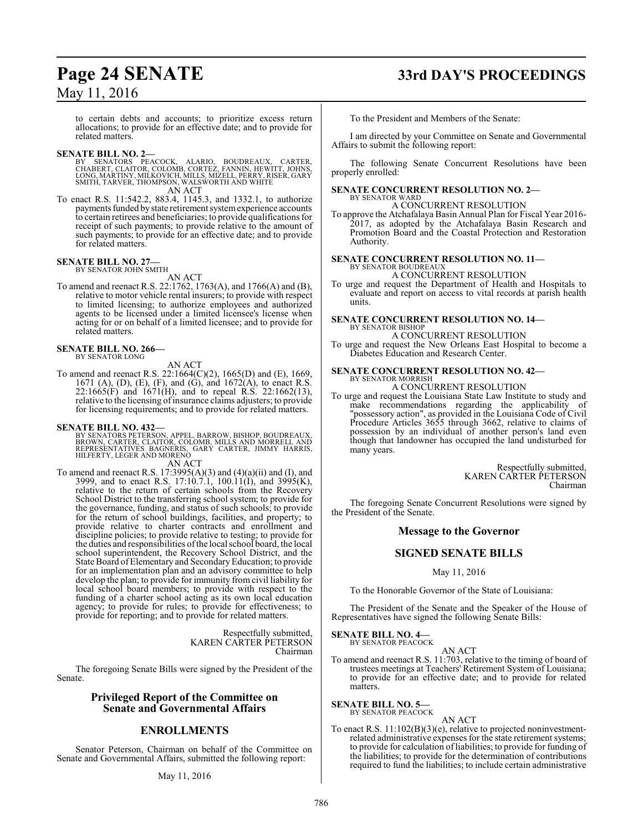to certain debts and accounts; to prioritize excess return allocations; to provide for an effective date; and to provide for related matters.

**SENATE BILL NO. 2—**<br>BY SENATORS PEACOCK, ALARIO, BOUDREAUX, CARTER,<br>CHABERT, CLAITOR, COLOMB, CORTEZ, FANNIN, HEWITT, JOHNS,<br>LONG, MARTINY, MILKOVICH, MILLS, MIZELL, PERRY, RISER, GARY SMITH, TARVER, THOMPSON, WALSWORTH AND WHITE AN ACT

To enact R.S. 11:542.2, 883.4, 1145.3, and 1332.1, to authorize payments funded by state retirement systemexperience accounts to certain retirees and beneficiaries; to provide qualifications for receipt of such payments; to provide relative to the amount of such payments; to provide for an effective date; and to provide for related matters.

### **SENATE BILL NO. 27—**<br>BY SENATOR JOHN SMITH

AN ACT

To amend and reenact R.S. 22:1762, 1763(A), and 1766(A) and (B), relative to motor vehicle rental insurers; to provide with respect to limited licensing; to authorize employees and authorized agents to be licensed under a limited licensee's license when acting for or on behalf of a limited licensee; and to provide for related matters.

#### **SENATE BILL NO. 266—** BY SENATOR LONG

AN ACT

To amend and reenact R.S. 22:1664(C)(2), 1665(D) and (E), 1669, 1671 (A), (D), (E), (F), and (G), and 1672(A), to enact R.S. 22:1665(F) and 1671(H), and to repeal R.S. 22:1662(13), relative to the licensing of insurance claims adjusters; to provide for licensing requirements; and to provide for related matters.

### **SENATE BILL NO. 432—**

- BY SENATORS PETERSON, APPEL, BARROW, BISHOP, BOUDREAUX,<br>BROWN, CARTER, CLAITOR, COLOMB, MILLS AND MORRELL AND<br>REPRESENTATIVES BAGNERIS, GARY CARTER, JIMMY HARRIS,<br>HILFERTY, LEGER AND MORENO AN ACT
- To amend and reenact R.S.  $17:3995(A)(3)$  and  $(4)(a)(ii)$  and  $(I)$ , and 3999, and to enact R.S. 17:10.7.1, 100.11(I), and 3995(K), relative to the return of certain schools from the Recovery School District to the transferring school system; to provide for the governance, funding, and status of such schools; to provide for the return of school buildings, facilities, and property; to provide relative to charter contracts and enrollment and discipline policies; to provide relative to testing; to provide for the duties and responsibilities ofthe local school board, the local school superintendent, the Recovery School District, and the State Board of Elementary and Secondary Education; to provide for an implementation plan and an advisory committee to help develop the plan; to provide for immunity from civil liability for local school board members; to provide with respect to the funding of a charter school acting as its own local education agency; to provide for rules; to provide for effectiveness; to provide for reporting; and to provide for related matters.

Respectfully submitted, KAREN CARTER PETERSON Chairman

The foregoing Senate Bills were signed by the President of the Senate.

### **Privileged Report of the Committee on Senate and Governmental Affairs**

### **ENROLLMENTS**

Senator Peterson, Chairman on behalf of the Committee on Senate and Governmental Affairs, submitted the following report:

### May 11, 2016

### **Page 24 SENATE 33rd DAY'S PROCEEDINGS**

To the President and Members of the Senate:

I am directed by your Committee on Senate and Governmental Affairs to submit the following report:

The following Senate Concurrent Resolutions have been properly enrolled:

# **SENATE CONCURRENT RESOLUTION NO. 2—** BY SENATOR WARD

#### A CONCURRENT RESOLUTION

To approve the Atchafalaya Basin Annual Plan for Fiscal Year 2016- 2017, as adopted by the Atchafalaya Basin Research and Promotion Board and the Coastal Protection and Restoration Authority.

### **SENATE CONCURRENT RESOLUTION NO. 11—**

BY SENATOR BOUDREAUX A CONCURRENT RESOLUTION

To urge and request the Department of Health and Hospitals to evaluate and report on access to vital records at parish health units.

# **SENATE CONCURRENT RESOLUTION NO. 14—** BY SENATOR BISHOP

A CONCURRENT RESOLUTION

To urge and request the New Orleans East Hospital to become a Diabetes Education and Research Center.

### **SENATE CONCURRENT RESOLUTION NO. 42—** BY SENATOR MORRISH

A CONCURRENT RESOLUTION

To urge and request the Louisiana State Law Institute to study and make recommendations regarding the applicability of "possessory action", as provided in the Louisiana Code of Civil Procedure Articles 3655 through 3662, relative to claims of possession by an individual of another person's land even though that landowner has occupied the land undisturbed for many years.

> Respectfully submitted, KAREN CARTER PETERSON Chairman

The foregoing Senate Concurrent Resolutions were signed by the President of the Senate.

### **Message to the Governor**

### **SIGNED SENATE BILLS**

May 11, 2016

To the Honorable Governor of the State of Louisiana:

The President of the Senate and the Speaker of the House of Representatives have signed the following Senate Bills:

#### **SENATE BILL NO. 4—** BY SENATOR PEACOCK

AN ACT

To amend and reenact R.S. 11:703, relative to the timing of board of trustees meetings at Teachers' Retirement System of Louisiana; to provide for an effective date; and to provide for related matters.

### **SENATE BILL NO. 5—**<br>BY SENATOR PEACOCK

AN ACT

To enact R.S. 11:102(B)(3)(e), relative to projected noninvestmentrelated administrative expenses for the state retirement systems; to provide for calculation ofliabilities; to provide for funding of the liabilities; to provide for the determination of contributions required to fund the liabilities; to include certain administrative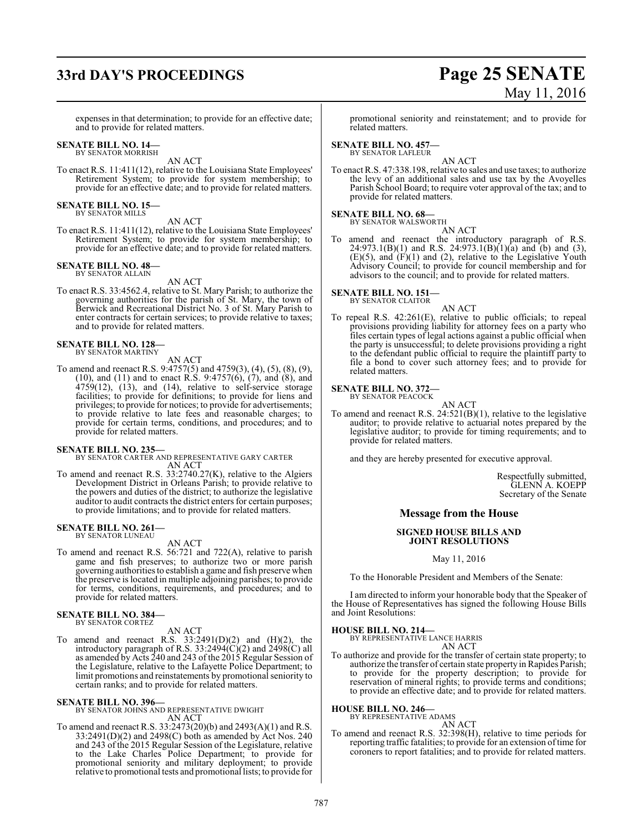### **33rd DAY'S PROCEEDINGS Page 25 SENATE**

May 11, 2016

expenses in that determination; to provide for an effective date; and to provide for related matters.

#### **SENATE BILL NO. 14—** BY SENATOR MORRISH

AN ACT

To enact R.S. 11:411(12), relative to the Louisiana State Employees' Retirement System; to provide for system membership; to provide for an effective date; and to provide for related matters.

**SENATE BILL NO. 15—** BY SENATOR MILLS

AN ACT

To enact R.S. 11:411(12), relative to the Louisiana State Employees' Retirement System; to provide for system membership; to provide for an effective date; and to provide for related matters.

#### **SENATE BILL NO. 48—** BY SENATOR ALLAIN

AN ACT

To enact R.S. 33:4562.4, relative to St. Mary Parish; to authorize the governing authorities for the parish of St. Mary, the town of Berwick and Recreational District No. 3 of St. Mary Parish to enter contracts for certain services; to provide relative to taxes; and to provide for related matters.

### **SENATE BILL NO. 128—** BY SENATOR MARTINY

AN ACT

To amend and reenact R.S. 9:4757(5) and 4759(3), (4), (5), (8), (9), (10), and (11) and to enact R.S. 9:4757(6), (7), and (8), and 4759(12), (13), and (14), relative to self-service storage facilities; to provide for definitions; to provide for liens and privileges; to provide for notices; to provide for advertisements; to provide relative to late fees and reasonable charges; to provide for certain terms, conditions, and procedures; and to provide for related matters.

**SENATE BILL NO. 235—** BY SENATOR CARTER AND REPRESENTATIVE GARY CARTER AN ACT

To amend and reenact R.S. 33:2740.27(K), relative to the Algiers Development District in Orleans Parish; to provide relative to the powers and duties of the district; to authorize the legislative auditor to audit contracts the district enters for certain purposes; to provide limitations; and to provide for related matters.

#### **SENATE BILL NO. 261—** BY SENATOR LUNEAU

AN ACT

To amend and reenact R.S. 56:721 and 722(A), relative to parish game and fish preserves; to authorize two or more parish governing authorities to establish a game and fish preserve when the preserve is located in multiple adjoining parishes; to provide for terms, conditions, requirements, and procedures; and to provide for related matters.

### **SENATE BILL NO. 384—** BY SENATOR CORTEZ

### AN ACT

To amend and reenact R.S.  $33:2491(D)(2)$  and  $(H)(2)$ , the introductory paragraph of R.S.  $33:2494(\text{C})(2)$  and  $2498(\text{C})$  all as amended by Acts 240 and 243 of the 2015 Regular Session of the Legislature, relative to the Lafayette Police Department; to limit promotions and reinstatements by promotional seniority to certain ranks; and to provide for related matters.

### **SENATE BILL NO. 396—**

BY SENATOR JOHNS AND REPRESENTATIVE DWIGHT AN ACT

To amend and reenact R.S. 33:2473(20)(b) and 2493(A)(1) and R.S. 33:2491(D)(2) and 2498(C) both as amended by Act Nos. 240 and 243 of the 2015 Regular Session of the Legislature, relative to the Lake Charles Police Department; to provide for promotional seniority and military deployment; to provide relative to promotional tests and promotional lists; to provide for

promotional seniority and reinstatement; and to provide for related matters.

### **SENATE BILL NO. 457—**

BY SENATOR LAFLEUR

AN ACT

To enact R.S. 47:338.198, relative to sales and use taxes; to authorize the levy of an additional sales and use tax by the Avoyelles Parish School Board; to require voter approval of the tax; and to provide for related matters.

### **SENATE BILL NO. 68—**<br>BY SENATOR WALSWORTH

AN ACT To amend and reenact the introductory paragraph of R.S. 24:973.1(B)(1) and R.S. 24:973.1(B)(1)(a) and (b) and (3),  $(E)(5)$ , and  $(F)(1)$  and  $(2)$ , relative to the Legislative Youth Advisory Council; to provide for council membership and for advisors to the council; and to provide for related matters.

### **SENATE BILL NO. 151—**

BY SENATOR CLAITOR

AN ACT To repeal R.S. 42:261(E), relative to public officials; to repeal provisions providing liability for attorney fees on a party who files certain types of legal actions against a public official when the party is unsuccessful; to delete provisions providing a right to the defendant public official to require the plaintiff party to file a bond to cover such attorney fees; and to provide for related matters.

#### **SENATE BILL NO. 372—**

BY SENATOR PEACOCK

AN ACT To amend and reenact R.S. 24:521(B)(1), relative to the legislative auditor; to provide relative to actuarial notes prepared by the legislative auditor; to provide for timing requirements; and to provide for related matters.

and they are hereby presented for executive approval.

Respectfully submitted, GLENN A. KOEPP Secretary of the Senate

### **Message from the House**

### **SIGNED HOUSE BILLS AND JOINT RESOLUTIONS**

May 11, 2016

To the Honorable President and Members of the Senate:

I am directed to inform your honorable body that the Speaker of the House of Representatives has signed the following House Bills and Joint Resolutions:

**HOUSE BILL NO. 214—** BY REPRESENTATIVE LANCE HARRIS AN ACT

To authorize and provide for the transfer of certain state property; to authorize the transfer of certain state property in Rapides Parish; to provide for the property description; to provide for reservation of mineral rights; to provide terms and conditions; to provide an effective date; and to provide for related matters.

### **HOUSE BILL NO. 246—**

BY REPRESENTATIVE ADAMS

AN ACT

To amend and reenact R.S. 32:398(H), relative to time periods for reporting traffic fatalities; to provide for an extension oftime for coroners to report fatalities; and to provide for related matters.